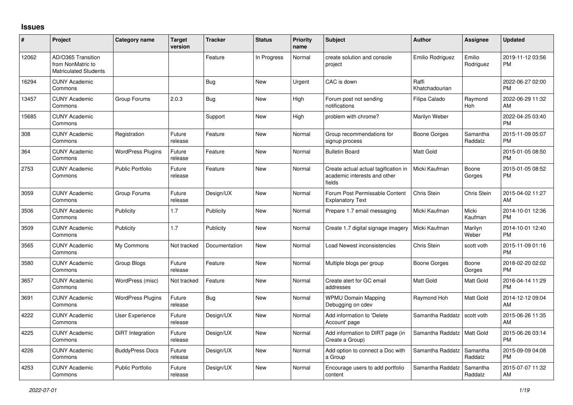## **Issues**

| #     | Project                                                                 | Category name            | <b>Target</b><br>version | <b>Tracker</b> | <b>Status</b> | <b>Priority</b><br>name | <b>Subject</b>                                                                 | Author                  | <b>Assignee</b>     | <b>Updated</b>                |
|-------|-------------------------------------------------------------------------|--------------------------|--------------------------|----------------|---------------|-------------------------|--------------------------------------------------------------------------------|-------------------------|---------------------|-------------------------------|
| 12062 | AD/O365 Transition<br>from NonMatric to<br><b>Matriculated Students</b> |                          |                          | Feature        | In Progress   | Normal                  | create solution and console<br>project                                         | Emilio Rodriguez        | Emilio<br>Rodriguez | 2019-11-12 03:56<br><b>PM</b> |
| 16294 | <b>CUNY Academic</b><br>Commons                                         |                          |                          | <b>Bug</b>     | New           | Urgent                  | CAC is down                                                                    | Raffi<br>Khatchadourian |                     | 2022-06-27 02:00<br><b>PM</b> |
| 13457 | <b>CUNY Academic</b><br>Commons                                         | Group Forums             | 2.0.3                    | <b>Bug</b>     | <b>New</b>    | High                    | Forum post not sending<br>notifications                                        | Filipa Calado           | Raymond<br>Hoh      | 2022-06-29 11:32<br>AM        |
| 15685 | <b>CUNY Academic</b><br>Commons                                         |                          |                          | Support        | <b>New</b>    | High                    | problem with chrome?                                                           | Marilyn Weber           |                     | 2022-04-25 03:40<br><b>PM</b> |
| 308   | <b>CUNY Academic</b><br>Commons                                         | Registration             | Future<br>release        | Feature        | <b>New</b>    | Normal                  | Group recommendations for<br>signup process                                    | Boone Gorges            | Samantha<br>Raddatz | 2015-11-09 05:07<br><b>PM</b> |
| 364   | <b>CUNY Academic</b><br>Commons                                         | <b>WordPress Plugins</b> | Future<br>release        | Feature        | <b>New</b>    | Normal                  | <b>Bulletin Board</b>                                                          | <b>Matt Gold</b>        |                     | 2015-01-05 08:50<br><b>PM</b> |
| 2753  | <b>CUNY Academic</b><br>Commons                                         | <b>Public Portfolio</b>  | Future<br>release        | Feature        | New           | Normal                  | Create actual actual tagification in<br>academic interests and other<br>fields | Micki Kaufman           | Boone<br>Gorges     | 2015-01-05 08:52<br><b>PM</b> |
| 3059  | <b>CUNY Academic</b><br>Commons                                         | Group Forums             | Future<br>release        | Design/UX      | <b>New</b>    | Normal                  | Forum Post Permissable Content<br><b>Explanatory Text</b>                      | Chris Stein             | Chris Stein         | 2015-04-02 11:27<br>AM        |
| 3506  | <b>CUNY Academic</b><br>Commons                                         | Publicity                | 1.7                      | Publicity      | <b>New</b>    | Normal                  | Prepare 1.7 email messaging                                                    | Micki Kaufman           | Micki<br>Kaufman    | 2014-10-01 12:36<br><b>PM</b> |
| 3509  | <b>CUNY Academic</b><br>Commons                                         | Publicity                | 1.7                      | Publicity      | <b>New</b>    | Normal                  | Create 1.7 digital signage imagery                                             | Micki Kaufman           | Marilyn<br>Weber    | 2014-10-01 12:40<br><b>PM</b> |
| 3565  | <b>CUNY Academic</b><br>Commons                                         | My Commons               | Not tracked              | Documentation  | <b>New</b>    | Normal                  | Load Newest inconsistencies                                                    | Chris Stein             | scott voth          | 2015-11-09 01:16<br><b>PM</b> |
| 3580  | <b>CUNY Academic</b><br>Commons                                         | Group Blogs              | Future<br>release        | Feature        | <b>New</b>    | Normal                  | Multiple blogs per group                                                       | Boone Gorges            | Boone<br>Gorges     | 2018-02-20 02:02<br><b>PM</b> |
| 3657  | <b>CUNY Academic</b><br>Commons                                         | WordPress (misc)         | Not tracked              | Feature        | <b>New</b>    | Normal                  | Create alert for GC email<br>addresses                                         | <b>Matt Gold</b>        | Matt Gold           | 2016-04-14 11:29<br><b>PM</b> |
| 3691  | <b>CUNY Academic</b><br>Commons                                         | <b>WordPress Plugins</b> | Future<br>release        | Bug            | <b>New</b>    | Normal                  | <b>WPMU Domain Mapping</b><br>Debugging on cdev                                | Raymond Hoh             | Matt Gold           | 2014-12-12 09:04<br>AM        |
| 4222  | <b>CUNY Academic</b><br>Commons                                         | User Experience          | Future<br>release        | Design/UX      | <b>New</b>    | Normal                  | Add information to 'Delete<br>Account' page                                    | Samantha Raddatz        | scott voth          | 2015-06-26 11:35<br>AM        |
| 4225  | <b>CUNY Academic</b><br>Commons                                         | DiRT Integration         | Future<br>release        | Design/UX      | <b>New</b>    | Normal                  | Add information to DIRT page (in<br>Create a Group)                            | Samantha Raddatz        | <b>Matt Gold</b>    | 2015-06-26 03:14<br><b>PM</b> |
| 4226  | <b>CUNY Academic</b><br>Commons                                         | <b>BuddyPress Docs</b>   | Future<br>release        | Design/UX      | <b>New</b>    | Normal                  | Add option to connect a Doc with<br>a Group                                    | Samantha Raddatz        | Samantha<br>Raddatz | 2015-09-09 04:08<br><b>PM</b> |
| 4253  | <b>CUNY Academic</b><br>Commons                                         | Public Portfolio         | Future<br>release        | Design/UX      | <b>New</b>    | Normal                  | Encourage users to add portfolio<br>content                                    | Samantha Raddatz        | Samantha<br>Raddatz | 2015-07-07 11:32<br>AM        |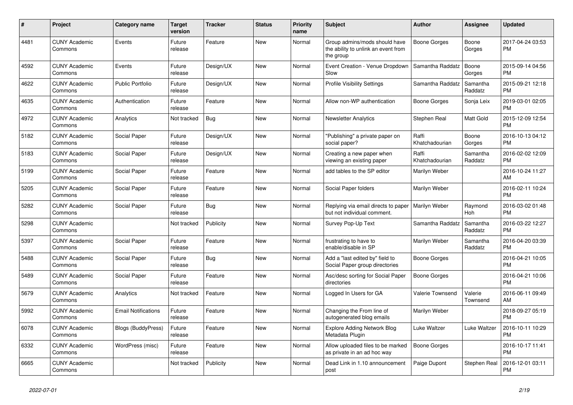| $\pmb{\#}$ | <b>Project</b>                  | Category name              | <b>Target</b><br>version | <b>Tracker</b> | <b>Status</b> | <b>Priority</b><br>name | <b>Subject</b>                                                                    | <b>Author</b>           | Assignee            | <b>Updated</b>                |
|------------|---------------------------------|----------------------------|--------------------------|----------------|---------------|-------------------------|-----------------------------------------------------------------------------------|-------------------------|---------------------|-------------------------------|
| 4481       | <b>CUNY Academic</b><br>Commons | Events                     | Future<br>release        | Feature        | <b>New</b>    | Normal                  | Group admins/mods should have<br>the ability to unlink an event from<br>the group | Boone Gorges            | Boone<br>Gorges     | 2017-04-24 03:53<br><b>PM</b> |
| 4592       | <b>CUNY Academic</b><br>Commons | Events                     | Future<br>release        | Design/UX      | New           | Normal                  | Event Creation - Venue Dropdown<br>Slow                                           | Samantha Raddatz        | Boone<br>Gorges     | 2015-09-14 04:56<br><b>PM</b> |
| 4622       | <b>CUNY Academic</b><br>Commons | <b>Public Portfolio</b>    | Future<br>release        | Design/UX      | <b>New</b>    | Normal                  | <b>Profile Visibility Settings</b>                                                | Samantha Raddatz        | Samantha<br>Raddatz | 2015-09-21 12:18<br><b>PM</b> |
| 4635       | <b>CUNY Academic</b><br>Commons | Authentication             | Future<br>release        | Feature        | <b>New</b>    | Normal                  | Allow non-WP authentication                                                       | Boone Gorges            | Sonja Leix          | 2019-03-01 02:05<br><b>PM</b> |
| 4972       | <b>CUNY Academic</b><br>Commons | Analytics                  | Not tracked              | <b>Bug</b>     | New           | Normal                  | <b>Newsletter Analytics</b>                                                       | Stephen Real            | Matt Gold           | 2015-12-09 12:54<br><b>PM</b> |
| 5182       | <b>CUNY Academic</b><br>Commons | Social Paper               | Future<br>release        | Design/UX      | <b>New</b>    | Normal                  | "Publishing" a private paper on<br>social paper?                                  | Raffi<br>Khatchadourian | Boone<br>Gorges     | 2016-10-13 04:12<br><b>PM</b> |
| 5183       | <b>CUNY Academic</b><br>Commons | Social Paper               | Future<br>release        | Design/UX      | <b>New</b>    | Normal                  | Creating a new paper when<br>viewing an existing paper                            | Raffi<br>Khatchadourian | Samantha<br>Raddatz | 2016-02-02 12:09<br><b>PM</b> |
| 5199       | <b>CUNY Academic</b><br>Commons | Social Paper               | Future<br>release        | Feature        | <b>New</b>    | Normal                  | add tables to the SP editor                                                       | Marilyn Weber           |                     | 2016-10-24 11:27<br>AM        |
| 5205       | <b>CUNY Academic</b><br>Commons | Social Paper               | Future<br>release        | Feature        | <b>New</b>    | Normal                  | Social Paper folders                                                              | Marilyn Weber           |                     | 2016-02-11 10:24<br><b>PM</b> |
| 5282       | <b>CUNY Academic</b><br>Commons | Social Paper               | Future<br>release        | Bug            | <b>New</b>    | Normal                  | Replying via email directs to paper<br>but not individual comment.                | Marilyn Weber           | Raymond<br>Hoh      | 2016-03-02 01:48<br><b>PM</b> |
| 5298       | <b>CUNY Academic</b><br>Commons |                            | Not tracked              | Publicity      | New           | Normal                  | Survey Pop-Up Text                                                                | Samantha Raddatz        | Samantha<br>Raddatz | 2016-03-22 12:27<br><b>PM</b> |
| 5397       | <b>CUNY Academic</b><br>Commons | Social Paper               | Future<br>release        | Feature        | <b>New</b>    | Normal                  | frustrating to have to<br>enable/disable in SP                                    | Marilyn Weber           | Samantha<br>Raddatz | 2016-04-20 03:39<br><b>PM</b> |
| 5488       | <b>CUNY Academic</b><br>Commons | Social Paper               | Future<br>release        | <b>Bug</b>     | <b>New</b>    | Normal                  | Add a "last edited by" field to<br>Social Paper group directories                 | Boone Gorges            |                     | 2016-04-21 10:05<br><b>PM</b> |
| 5489       | <b>CUNY Academic</b><br>Commons | Social Paper               | Future<br>release        | Feature        | <b>New</b>    | Normal                  | Asc/desc sorting for Social Paper<br>directories                                  | Boone Gorges            |                     | 2016-04-21 10:06<br><b>PM</b> |
| 5679       | <b>CUNY Academic</b><br>Commons | Analytics                  | Not tracked              | Feature        | <b>New</b>    | Normal                  | Logged In Users for GA                                                            | Valerie Townsend        | Valerie<br>Townsend | 2016-06-11 09:49<br>AM        |
| 5992       | <b>CUNY Academic</b><br>Commons | <b>Email Notifications</b> | Future<br>release        | Feature        | <b>New</b>    | Normal                  | Changing the From line of<br>autogenerated blog emails                            | Marilyn Weber           |                     | 2018-09-27 05:19<br><b>PM</b> |
| 6078       | <b>CUNY Academic</b><br>Commons | <b>Blogs (BuddyPress)</b>  | Future<br>release        | Feature        | New           | Normal                  | <b>Explore Adding Network Blog</b><br>Metadata Plugin                             | Luke Waltzer            | Luke Waltzer        | 2016-10-11 10:29<br><b>PM</b> |
| 6332       | <b>CUNY Academic</b><br>Commons | WordPress (misc)           | Future<br>release        | Feature        | New           | Normal                  | Allow uploaded files to be marked<br>as private in an ad hoc way                  | <b>Boone Gorges</b>     |                     | 2016-10-17 11:41<br><b>PM</b> |
| 6665       | <b>CUNY Academic</b><br>Commons |                            | Not tracked              | Publicity      | <b>New</b>    | Normal                  | Dead Link in 1.10 announcement<br>post                                            | Paige Dupont            | Stephen Real        | 2016-12-01 03:11<br><b>PM</b> |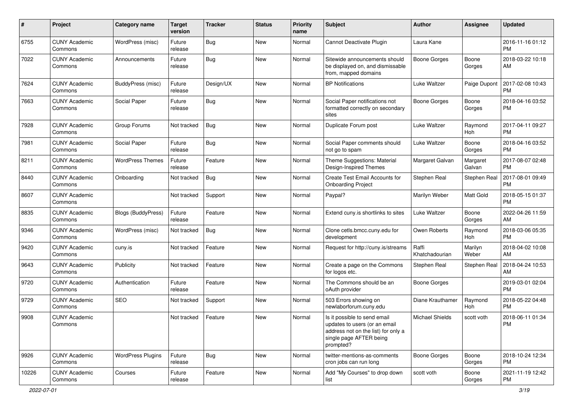| #     | Project                         | <b>Category name</b>     | <b>Target</b><br>version | <b>Tracker</b> | <b>Status</b> | <b>Priority</b><br>name | <b>Subject</b>                                                                                                                               | Author                  | Assignee           | <b>Updated</b>                |
|-------|---------------------------------|--------------------------|--------------------------|----------------|---------------|-------------------------|----------------------------------------------------------------------------------------------------------------------------------------------|-------------------------|--------------------|-------------------------------|
| 6755  | <b>CUNY Academic</b><br>Commons | WordPress (misc)         | Future<br>release        | Bug            | New           | Normal                  | Cannot Deactivate Plugin                                                                                                                     | Laura Kane              |                    | 2016-11-16 01:12<br><b>PM</b> |
| 7022  | <b>CUNY Academic</b><br>Commons | Announcements            | Future<br>release        | <b>Bug</b>     | New           | Normal                  | Sitewide announcements should<br>be displayed on, and dismissable<br>from, mapped domains                                                    | <b>Boone Gorges</b>     | Boone<br>Gorges    | 2018-03-22 10:18<br>AM        |
| 7624  | <b>CUNY Academic</b><br>Commons | BuddyPress (misc)        | Future<br>release        | Design/UX      | New           | Normal                  | <b>BP</b> Notifications                                                                                                                      | Luke Waltzer            | Paige Dupont       | 2017-02-08 10:43<br><b>PM</b> |
| 7663  | <b>CUNY Academic</b><br>Commons | Social Paper             | Future<br>release        | Bug            | New           | Normal                  | Social Paper notifications not<br>formatted correctly on secondary<br>sites                                                                  | <b>Boone Gorges</b>     | Boone<br>Gorges    | 2018-04-16 03:52<br><b>PM</b> |
| 7928  | <b>CUNY Academic</b><br>Commons | Group Forums             | Not tracked              | Bug            | New           | Normal                  | Duplicate Forum post                                                                                                                         | Luke Waltzer            | Raymond<br>Hoh     | 2017-04-11 09:27<br><b>PM</b> |
| 7981  | <b>CUNY Academic</b><br>Commons | Social Paper             | Future<br>release        | Bug            | New           | Normal                  | Social Paper comments should<br>not go to spam                                                                                               | Luke Waltzer            | Boone<br>Gorges    | 2018-04-16 03:52<br><b>PM</b> |
| 8211  | <b>CUNY Academic</b><br>Commons | <b>WordPress Themes</b>  | Future<br>release        | Feature        | New           | Normal                  | Theme Suggestions: Material<br>Design-Inspired Themes                                                                                        | Margaret Galvan         | Margaret<br>Galvan | 2017-08-07 02:48<br><b>PM</b> |
| 8440  | <b>CUNY Academic</b><br>Commons | Onboarding               | Not tracked              | Bug            | New           | Normal                  | Create Test Email Accounts for<br><b>Onboarding Project</b>                                                                                  | Stephen Real            | Stephen Real       | 2017-08-01 09:49<br><b>PM</b> |
| 8607  | <b>CUNY Academic</b><br>Commons |                          | Not tracked              | Support        | New           | Normal                  | Paypal?                                                                                                                                      | Marilyn Weber           | Matt Gold          | 2018-05-15 01:37<br><b>PM</b> |
| 8835  | <b>CUNY Academic</b><br>Commons | Blogs (BuddyPress)       | Future<br>release        | Feature        | <b>New</b>    | Normal                  | Extend cuny is shortlinks to sites                                                                                                           | Luke Waltzer            | Boone<br>Gorges    | 2022-04-26 11:59<br>AM        |
| 9346  | <b>CUNY Academic</b><br>Commons | WordPress (misc)         | Not tracked              | Bug            | New           | Normal                  | Clone cetls.bmcc.cuny.edu for<br>development                                                                                                 | Owen Roberts            | Raymond<br>Hoh     | 2018-03-06 05:35<br><b>PM</b> |
| 9420  | <b>CUNY Academic</b><br>Commons | cuny.is                  | Not tracked              | Feature        | <b>New</b>    | Normal                  | Request for http://cuny.is/streams                                                                                                           | Raffi<br>Khatchadourian | Marilyn<br>Weber   | 2018-04-02 10:08<br>AM        |
| 9643  | <b>CUNY Academic</b><br>Commons | Publicity                | Not tracked              | Feature        | <b>New</b>    | Normal                  | Create a page on the Commons<br>for logos etc.                                                                                               | Stephen Real            | Stephen Real       | 2018-04-24 10:53<br>AM        |
| 9720  | <b>CUNY Academic</b><br>Commons | Authentication           | Future<br>release        | Feature        | New           | Normal                  | The Commons should be an<br>oAuth provider                                                                                                   | <b>Boone Gorges</b>     |                    | 2019-03-01 02:04<br><b>PM</b> |
| 9729  | <b>CUNY Academic</b><br>Commons | <b>SEO</b>               | Not tracked              | Support        | New           | Normal                  | 503 Errors showing on<br>newlaborforum.cuny.edu                                                                                              | Diane Krauthamer        | Raymond<br>Hoh     | 2018-05-22 04:48<br><b>PM</b> |
| 9908  | <b>CUNY Academic</b><br>Commons |                          | Not tracked              | Feature        | <b>New</b>    | Normal                  | Is it possible to send email<br>updates to users (or an email<br>address not on the list) for only a<br>single page AFTER being<br>prompted? | Michael Shields         | scott voth         | 2018-06-11 01:34<br>PM        |
| 9926  | <b>CUNY Academic</b><br>Commons | <b>WordPress Plugins</b> | Future<br>release        | Bug            | New           | Normal                  | twitter-mentions-as-comments<br>cron jobs can run long                                                                                       | Boone Gorges            | Boone<br>Gorges    | 2018-10-24 12:34<br>PM.       |
| 10226 | <b>CUNY Academic</b><br>Commons | Courses                  | Future<br>release        | Feature        | New           | Normal                  | Add "My Courses" to drop down<br>list                                                                                                        | scott voth              | Boone<br>Gorges    | 2021-11-19 12:42<br><b>PM</b> |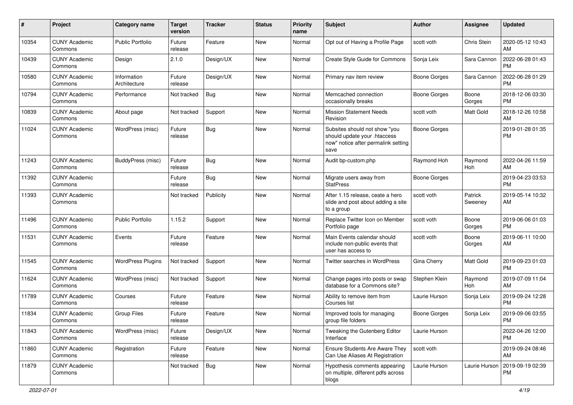| #     | Project                         | Category name               | <b>Target</b><br>version | <b>Tracker</b> | <b>Status</b> | Priority<br>name | <b>Subject</b>                                                                                               | Author              | <b>Assignee</b>    | <b>Updated</b>                |
|-------|---------------------------------|-----------------------------|--------------------------|----------------|---------------|------------------|--------------------------------------------------------------------------------------------------------------|---------------------|--------------------|-------------------------------|
| 10354 | <b>CUNY Academic</b><br>Commons | Public Portfolio            | Future<br>release        | Feature        | <b>New</b>    | Normal           | Opt out of Having a Profile Page                                                                             | scott voth          | Chris Stein        | 2020-05-12 10:43<br>AM        |
| 10439 | <b>CUNY Academic</b><br>Commons | Design                      | 2.1.0                    | Design/UX      | New           | Normal           | Create Style Guide for Commons                                                                               | Sonja Leix          | Sara Cannon        | 2022-06-28 01:43<br><b>PM</b> |
| 10580 | <b>CUNY Academic</b><br>Commons | Information<br>Architecture | Future<br>release        | Design/UX      | <b>New</b>    | Normal           | Primary nav item review                                                                                      | <b>Boone Gorges</b> | Sara Cannon        | 2022-06-28 01:29<br><b>PM</b> |
| 10794 | <b>CUNY Academic</b><br>Commons | Performance                 | Not tracked              | Bug            | <b>New</b>    | Normal           | Memcached connection<br>occasionally breaks                                                                  | Boone Gorges        | Boone<br>Gorges    | 2018-12-06 03:30<br><b>PM</b> |
| 10839 | <b>CUNY Academic</b><br>Commons | About page                  | Not tracked              | Support        | <b>New</b>    | Normal           | <b>Mission Statement Needs</b><br>Revision                                                                   | scott voth          | <b>Matt Gold</b>   | 2018-12-26 10:58<br>AM        |
| 11024 | <b>CUNY Academic</b><br>Commons | WordPress (misc)            | Future<br>release        | Bug            | New           | Normal           | Subsites should not show "you<br>should update your .htaccess<br>now" notice after permalink setting<br>save | <b>Boone Gorges</b> |                    | 2019-01-28 01:35<br><b>PM</b> |
| 11243 | <b>CUNY Academic</b><br>Commons | <b>BuddyPress</b> (misc)    | Future<br>release        | Bug            | <b>New</b>    | Normal           | Audit bp-custom.php                                                                                          | Raymond Hoh         | Raymond<br>Hoh     | 2022-04-26 11:59<br>AM        |
| 11392 | <b>CUNY Academic</b><br>Commons |                             | Future<br>release        | Bug            | New           | Normal           | Migrate users away from<br><b>StatPress</b>                                                                  | <b>Boone Gorges</b> |                    | 2019-04-23 03:53<br><b>PM</b> |
| 11393 | <b>CUNY Academic</b><br>Commons |                             | Not tracked              | Publicity      | <b>New</b>    | Normal           | After 1.15 release, ceate a hero<br>slide and post about adding a site<br>to a group                         | scott voth          | Patrick<br>Sweeney | 2019-05-14 10:32<br>AM        |
| 11496 | <b>CUNY Academic</b><br>Commons | <b>Public Portfolio</b>     | 1.15.2                   | Support        | <b>New</b>    | Normal           | Replace Twitter Icon on Member<br>Portfolio page                                                             | scott voth          | Boone<br>Gorges    | 2019-06-06 01:03<br><b>PM</b> |
| 11531 | <b>CUNY Academic</b><br>Commons | Events                      | Future<br>release        | Feature        | <b>New</b>    | Normal           | Main Events calendar should<br>include non-public events that<br>user has access to                          | scott voth          | Boone<br>Gorges    | 2019-06-11 10:00<br>AM        |
| 11545 | <b>CUNY Academic</b><br>Commons | <b>WordPress Plugins</b>    | Not tracked              | Support        | <b>New</b>    | Normal           | Twitter searches in WordPress                                                                                | Gina Cherry         | Matt Gold          | 2019-09-23 01:03<br><b>PM</b> |
| 11624 | <b>CUNY Academic</b><br>Commons | WordPress (misc)            | Not tracked              | Support        | <b>New</b>    | Normal           | Change pages into posts or swap<br>database for a Commons site?                                              | Stephen Klein       | Raymond<br>Hoh     | 2019-07-09 11:04<br>AM        |
| 11789 | <b>CUNY Academic</b><br>Commons | Courses                     | Future<br>release        | Feature        | New           | Normal           | Ability to remove item from<br>Courses list                                                                  | Laurie Hurson       | Sonja Leix         | 2019-09-24 12:28<br><b>PM</b> |
| 11834 | <b>CUNY Academic</b><br>Commons | <b>Group Files</b>          | Future<br>release        | Feature        | <b>New</b>    | Normal           | Improved tools for managing<br>group file folders                                                            | <b>Boone Gorges</b> | Sonja Leix         | 2019-09-06 03:55<br><b>PM</b> |
| 11843 | <b>CUNY Academic</b><br>Commons | WordPress (misc)            | Future<br>release        | Design/UX      | New           | Normal           | Tweaking the Gutenberg Editor<br>Interface                                                                   | Laurie Hurson       |                    | 2022-04-26 12:00<br>PM.       |
| 11860 | <b>CUNY Academic</b><br>Commons | Registration                | Future<br>release        | Feature        | New           | Normal           | <b>Ensure Students Are Aware They</b><br>Can Use Aliases At Registration                                     | scott voth          |                    | 2019-09-24 08:46<br>AM        |
| 11879 | <b>CUNY Academic</b><br>Commons |                             | Not tracked              | Bug            | New           | Normal           | Hypothesis comments appearing<br>on multiple, different pdfs across<br>blogs                                 | Laurie Hurson       | Laurie Hurson      | 2019-09-19 02:39<br><b>PM</b> |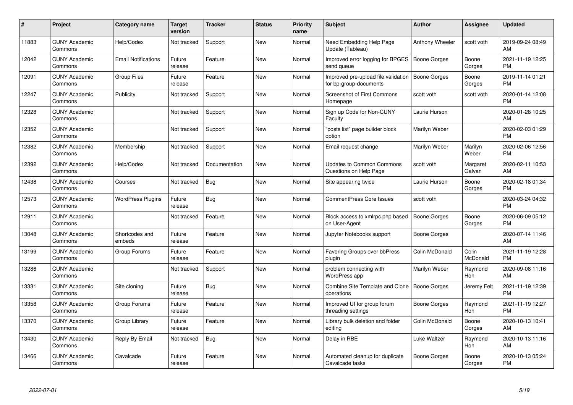| #     | <b>Project</b>                  | Category name              | Target<br>version | <b>Tracker</b> | <b>Status</b> | <b>Priority</b><br>name | <b>Subject</b>                                                | <b>Author</b>       | Assignee           | <b>Updated</b>                |
|-------|---------------------------------|----------------------------|-------------------|----------------|---------------|-------------------------|---------------------------------------------------------------|---------------------|--------------------|-------------------------------|
| 11883 | <b>CUNY Academic</b><br>Commons | Help/Codex                 | Not tracked       | Support        | <b>New</b>    | Normal                  | Need Embedding Help Page<br>Update (Tableau)                  | Anthony Wheeler     | scott voth         | 2019-09-24 08:49<br>AM        |
| 12042 | <b>CUNY Academic</b><br>Commons | <b>Email Notifications</b> | Future<br>release | Feature        | New           | Normal                  | Improved error logging for BPGES<br>send queue                | <b>Boone Gorges</b> | Boone<br>Gorges    | 2021-11-19 12:25<br><b>PM</b> |
| 12091 | <b>CUNY Academic</b><br>Commons | <b>Group Files</b>         | Future<br>release | Feature        | <b>New</b>    | Normal                  | Improved pre-upload file validation<br>for bp-group-documents | Boone Gorges        | Boone<br>Gorges    | 2019-11-14 01:21<br><b>PM</b> |
| 12247 | <b>CUNY Academic</b><br>Commons | Publicity                  | Not tracked       | Support        | New           | Normal                  | <b>Screenshot of First Commons</b><br>Homepage                | scott voth          | scott voth         | 2020-01-14 12:08<br><b>PM</b> |
| 12328 | <b>CUNY Academic</b><br>Commons |                            | Not tracked       | Support        | <b>New</b>    | Normal                  | Sign up Code for Non-CUNY<br>Faculty                          | Laurie Hurson       |                    | 2020-01-28 10:25<br>AM.       |
| 12352 | <b>CUNY Academic</b><br>Commons |                            | Not tracked       | Support        | <b>New</b>    | Normal                  | "posts list" page builder block<br>option                     | Marilyn Weber       |                    | 2020-02-03 01:29<br><b>PM</b> |
| 12382 | <b>CUNY Academic</b><br>Commons | Membership                 | Not tracked       | Support        | <b>New</b>    | Normal                  | Email request change                                          | Marilyn Weber       | Marilyn<br>Weber   | 2020-02-06 12:56<br><b>PM</b> |
| 12392 | <b>CUNY Academic</b><br>Commons | Help/Codex                 | Not tracked       | Documentation  | <b>New</b>    | Normal                  | Updates to Common Commons<br>Questions on Help Page           | scott voth          | Margaret<br>Galvan | 2020-02-11 10:53<br>AM        |
| 12438 | <b>CUNY Academic</b><br>Commons | Courses                    | Not tracked       | Bug            | <b>New</b>    | Normal                  | Site appearing twice                                          | Laurie Hurson       | Boone<br>Gorges    | 2020-02-18 01:34<br><b>PM</b> |
| 12573 | <b>CUNY Academic</b><br>Commons | <b>WordPress Plugins</b>   | Future<br>release | Bug            | <b>New</b>    | Normal                  | <b>CommentPress Core Issues</b>                               | scott voth          |                    | 2020-03-24 04:32<br><b>PM</b> |
| 12911 | <b>CUNY Academic</b><br>Commons |                            | Not tracked       | Feature        | <b>New</b>    | Normal                  | Block access to xmlrpc.php based<br>on User-Agent             | Boone Gorges        | Boone<br>Gorges    | 2020-06-09 05:12<br><b>PM</b> |
| 13048 | <b>CUNY Academic</b><br>Commons | Shortcodes and<br>embeds   | Future<br>release | Feature        | <b>New</b>    | Normal                  | Jupyter Notebooks support                                     | Boone Gorges        |                    | 2020-07-14 11:46<br>AM        |
| 13199 | <b>CUNY Academic</b><br>Commons | Group Forums               | Future<br>release | Feature        | New           | Normal                  | Favoring Groups over bbPress<br>plugin                        | Colin McDonald      | Colin<br>McDonald  | 2021-11-19 12:28<br><b>PM</b> |
| 13286 | <b>CUNY Academic</b><br>Commons |                            | Not tracked       | Support        | New           | Normal                  | problem connecting with<br>WordPress app                      | Marilyn Weber       | Raymond<br>Hoh     | 2020-09-08 11:16<br>AM.       |
| 13331 | <b>CUNY Academic</b><br>Commons | Site cloning               | Future<br>release | Bug            | New           | Normal                  | Combine Site Template and Clone<br>operations                 | Boone Gorges        | Jeremy Felt        | 2021-11-19 12:39<br><b>PM</b> |
| 13358 | <b>CUNY Academic</b><br>Commons | Group Forums               | Future<br>release | Feature        | New           | Normal                  | Improved UI for group forum<br>threading settings             | Boone Gorges        | Raymond<br>Hoh     | 2021-11-19 12:27<br><b>PM</b> |
| 13370 | <b>CUNY Academic</b><br>Commons | Group Library              | Future<br>release | Feature        | New           | Normal                  | Library bulk deletion and folder<br>editing                   | Colin McDonald      | Boone<br>Gorges    | 2020-10-13 10:41<br>AM.       |
| 13430 | <b>CUNY Academic</b><br>Commons | Reply By Email             | Not tracked       | Bug            | New           | Normal                  | Delay in RBE                                                  | Luke Waltzer        | Raymond<br>Hoh     | 2020-10-13 11:16<br>AM.       |
| 13466 | <b>CUNY Academic</b><br>Commons | Cavalcade                  | Future<br>release | Feature        | <b>New</b>    | Normal                  | Automated cleanup for duplicate<br>Cavalcade tasks            | Boone Gorges        | Boone<br>Gorges    | 2020-10-13 05:24<br>PM        |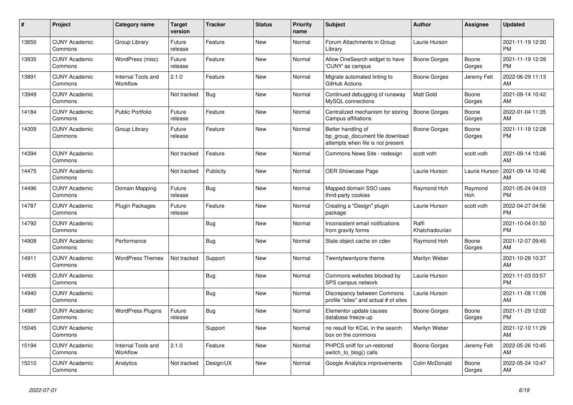| #     | <b>Project</b>                  | <b>Category name</b>           | <b>Target</b><br>version | <b>Tracker</b> | <b>Status</b> | <b>Priority</b><br>name | <b>Subject</b>                                                                             | <b>Author</b>           | Assignee        | <b>Updated</b>                |
|-------|---------------------------------|--------------------------------|--------------------------|----------------|---------------|-------------------------|--------------------------------------------------------------------------------------------|-------------------------|-----------------|-------------------------------|
| 13650 | <b>CUNY Academic</b><br>Commons | Group Library                  | Future<br>release        | Feature        | <b>New</b>    | Normal                  | Forum Attachments in Group<br>Library                                                      | Laurie Hurson           |                 | 2021-11-19 12:30<br><b>PM</b> |
| 13835 | <b>CUNY Academic</b><br>Commons | WordPress (misc)               | Future<br>release        | Feature        | New           | Normal                  | Allow OneSearch widget to have<br>'CUNY' as campus                                         | <b>Boone Gorges</b>     | Boone<br>Gorges | 2021-11-19 12:39<br><b>PM</b> |
| 13891 | <b>CUNY Academic</b><br>Commons | Internal Tools and<br>Workflow | 2.1.0                    | Feature        | <b>New</b>    | Normal                  | Migrate automated linting to<br>GitHub Actions                                             | Boone Gorges            | Jeremy Felt     | 2022-06-29 11:13<br>AM        |
| 13949 | <b>CUNY Academic</b><br>Commons |                                | Not tracked              | <b>Bug</b>     | <b>New</b>    | Normal                  | Continued debugging of runaway<br>MySQL connections                                        | <b>Matt Gold</b>        | Boone<br>Gorges | 2021-09-14 10:42<br>AM        |
| 14184 | <b>CUNY Academic</b><br>Commons | <b>Public Portfolio</b>        | Future<br>release        | Feature        | <b>New</b>    | Normal                  | Centralized mechanism for storing<br>Campus affiliations                                   | <b>Boone Gorges</b>     | Boone<br>Gorges | 2022-01-04 11:35<br>AM        |
| 14309 | <b>CUNY Academic</b><br>Commons | Group Library                  | Future<br>release        | Feature        | New           | Normal                  | Better handling of<br>bp_group_document file download<br>attempts when file is not present | <b>Boone Gorges</b>     | Boone<br>Gorges | 2021-11-19 12:28<br><b>PM</b> |
| 14394 | <b>CUNY Academic</b><br>Commons |                                | Not tracked              | Feature        | <b>New</b>    | Normal                  | Commons News Site - redesign                                                               | scott voth              | scott voth      | 2021-09-14 10:46<br>AM        |
| 14475 | <b>CUNY Academic</b><br>Commons |                                | Not tracked              | Publicity      | New           | Normal                  | <b>OER Showcase Page</b>                                                                   | Laurie Hurson           | Laurie Hurson   | 2021-09-14 10:46<br>AM        |
| 14496 | <b>CUNY Academic</b><br>Commons | Domain Mapping                 | Future<br>release        | Bug            | <b>New</b>    | Normal                  | Mapped domain SSO uses<br>third-party cookies                                              | Raymond Hoh             | Raymond<br>Hoh  | 2021-05-24 04:03<br><b>PM</b> |
| 14787 | <b>CUNY Academic</b><br>Commons | Plugin Packages                | Future<br>release        | Feature        | <b>New</b>    | Normal                  | Creating a "Design" plugin<br>package                                                      | Laurie Hurson           | scott voth      | 2022-04-27 04:56<br><b>PM</b> |
| 14792 | <b>CUNY Academic</b><br>Commons |                                |                          | Bug            | New           | Normal                  | Inconsistent email notifications<br>from gravity forms                                     | Raffi<br>Khatchadourian |                 | 2021-10-04 01:50<br><b>PM</b> |
| 14908 | <b>CUNY Academic</b><br>Commons | Performance                    |                          | Bug            | New           | Normal                  | Stale object cache on cdev                                                                 | Raymond Hoh             | Boone<br>Gorges | 2021-12-07 09:45<br>AM        |
| 14911 | <b>CUNY Academic</b><br>Commons | <b>WordPress Themes</b>        | Not tracked              | Support        | <b>New</b>    | Normal                  | Twentytwentyone theme                                                                      | Marilyn Weber           |                 | 2021-10-28 10:37<br>AM        |
| 14936 | <b>CUNY Academic</b><br>Commons |                                |                          | Bug            | <b>New</b>    | Normal                  | Commons websites blocked by<br>SPS campus network                                          | Laurie Hurson           |                 | 2021-11-03 03:57<br><b>PM</b> |
| 14940 | <b>CUNY Academic</b><br>Commons |                                |                          | Bug            | New           | Normal                  | Discrepancy between Commons<br>profile "sites" and actual # of sites                       | Laurie Hurson           |                 | 2021-11-08 11:09<br>AM        |
| 14987 | <b>CUNY Academic</b><br>Commons | <b>WordPress Plugins</b>       | Future<br>release        | Bug            | New           | Normal                  | Elementor update causes<br>database freeze-up                                              | Boone Gorges            | Boone<br>Gorges | 2021-11-29 12:02<br><b>PM</b> |
| 15045 | <b>CUNY Academic</b><br>Commons |                                |                          | Support        | <b>New</b>    | Normal                  | no result for KCeL in the search<br>box on the commons                                     | Marilyn Weber           |                 | 2021-12-10 11:29<br>AM        |
| 15194 | <b>CUNY Academic</b><br>Commons | Internal Tools and<br>Workflow | 2.1.0                    | Feature        | New           | Normal                  | PHPCS sniff for un-restored<br>switch_to_blog() calls                                      | Boone Gorges            | Jeremy Felt     | 2022-05-26 10:45<br>AM        |
| 15210 | <b>CUNY Academic</b><br>Commons | Analytics                      | Not tracked              | Design/UX      | <b>New</b>    | Normal                  | Google Analytics improvements                                                              | Colin McDonald          | Boone<br>Gorges | 2022-05-24 10:47<br>AM        |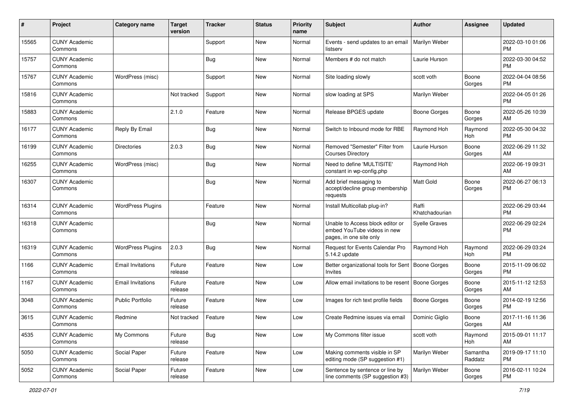| #     | Project                         | <b>Category name</b>     | <b>Target</b><br>version | <b>Tracker</b> | <b>Status</b> | Priority<br>name | <b>Subject</b>                                                                             | <b>Author</b>           | <b>Assignee</b>     | <b>Updated</b>                |
|-------|---------------------------------|--------------------------|--------------------------|----------------|---------------|------------------|--------------------------------------------------------------------------------------------|-------------------------|---------------------|-------------------------------|
| 15565 | <b>CUNY Academic</b><br>Commons |                          |                          | Support        | New           | Normal           | Events - send updates to an email<br>listserv                                              | Marilyn Weber           |                     | 2022-03-10 01:06<br>PM.       |
| 15757 | <b>CUNY Academic</b><br>Commons |                          |                          | Bug            | New           | Normal           | Members # do not match                                                                     | Laurie Hurson           |                     | 2022-03-30 04:52<br><b>PM</b> |
| 15767 | <b>CUNY Academic</b><br>Commons | WordPress (misc)         |                          | Support        | New           | Normal           | Site loading slowly                                                                        | scott voth              | Boone<br>Gorges     | 2022-04-04 08:56<br>PM.       |
| 15816 | <b>CUNY Academic</b><br>Commons |                          | Not tracked              | Support        | New           | Normal           | slow loading at SPS                                                                        | Marilyn Weber           |                     | 2022-04-05 01:26<br>PM.       |
| 15883 | <b>CUNY Academic</b><br>Commons |                          | 2.1.0                    | Feature        | <b>New</b>    | Normal           | Release BPGES update                                                                       | Boone Gorges            | Boone<br>Gorges     | 2022-05-26 10:39<br>AM        |
| 16177 | <b>CUNY Academic</b><br>Commons | Reply By Email           |                          | Bug            | New           | Normal           | Switch to Inbound mode for RBE                                                             | Raymond Hoh             | Raymond<br>Hoh      | 2022-05-30 04:32<br><b>PM</b> |
| 16199 | <b>CUNY Academic</b><br>Commons | <b>Directories</b>       | 2.0.3                    | <b>Bug</b>     | New           | Normal           | Removed "Semester" Filter from<br><b>Courses Directory</b>                                 | Laurie Hurson           | Boone<br>Gorges     | 2022-06-29 11:32<br>AM        |
| 16255 | <b>CUNY Academic</b><br>Commons | WordPress (misc)         |                          | Bug            | New           | Normal           | Need to define 'MULTISITE'<br>constant in wp-config.php                                    | Raymond Hoh             |                     | 2022-06-19 09:31<br>AM        |
| 16307 | <b>CUNY Academic</b><br>Commons |                          |                          | <b>Bug</b>     | New           | Normal           | Add brief messaging to<br>accept/decline group membership<br>requests                      | Matt Gold               | Boone<br>Gorges     | 2022-06-27 06:13<br><b>PM</b> |
| 16314 | <b>CUNY Academic</b><br>Commons | <b>WordPress Plugins</b> |                          | Feature        | New           | Normal           | Install Multicollab plug-in?                                                               | Raffi<br>Khatchadourian |                     | 2022-06-29 03:44<br><b>PM</b> |
| 16318 | <b>CUNY Academic</b><br>Commons |                          |                          | <b>Bug</b>     | New           | Normal           | Unable to Access block editor or<br>embed YouTube videos in new<br>pages, in one site only | <b>Syelle Graves</b>    |                     | 2022-06-29 02:24<br><b>PM</b> |
| 16319 | <b>CUNY Academic</b><br>Commons | <b>WordPress Plugins</b> | 2.0.3                    | Bug            | New           | Normal           | Request for Events Calendar Pro<br>5.14.2 update                                           | Raymond Hoh             | Raymond<br>Hoh      | 2022-06-29 03:24<br><b>PM</b> |
| 1166  | <b>CUNY Academic</b><br>Commons | <b>Email Invitations</b> | Future<br>release        | Feature        | New           | Low              | Better organizational tools for Sent<br>Invites                                            | <b>Boone Gorges</b>     | Boone<br>Gorges     | 2015-11-09 06:02<br><b>PM</b> |
| 1167  | <b>CUNY Academic</b><br>Commons | <b>Email Invitations</b> | Future<br>release        | Feature        | <b>New</b>    | Low              | Allow email invitations to be resent                                                       | Boone Gorges            | Boone<br>Gorges     | 2015-11-12 12:53<br>AM        |
| 3048  | <b>CUNY Academic</b><br>Commons | <b>Public Portfolio</b>  | Future<br>release        | Feature        | New           | Low              | Images for rich text profile fields                                                        | Boone Gorges            | Boone<br>Gorges     | 2014-02-19 12:56<br><b>PM</b> |
| 3615  | <b>CUNY Academic</b><br>Commons | Redmine                  | Not tracked              | Feature        | New           | Low              | Create Redmine issues via email                                                            | Dominic Giglio          | Boone<br>Gorges     | 2017-11-16 11:36<br>AM        |
| 4535  | <b>CUNY Academic</b><br>Commons | My Commons               | Future<br>release        | Bug            | New           | Low              | My Commons filter issue                                                                    | scott voth              | Raymond<br>Hoh      | 2015-09-01 11:17<br>AM        |
| 5050  | <b>CUNY Academic</b><br>Commons | Social Paper             | Future<br>release        | Feature        | New           | Low              | Making comments visible in SP<br>editing mode (SP suggestion #1)                           | Marilyn Weber           | Samantha<br>Raddatz | 2019-09-17 11:10<br><b>PM</b> |
| 5052  | <b>CUNY Academic</b><br>Commons | Social Paper             | Future<br>release        | Feature        | New           | Low              | Sentence by sentence or line by<br>line comments (SP suggestion #3)                        | Marilyn Weber           | Boone<br>Gorges     | 2016-02-11 10:24<br><b>PM</b> |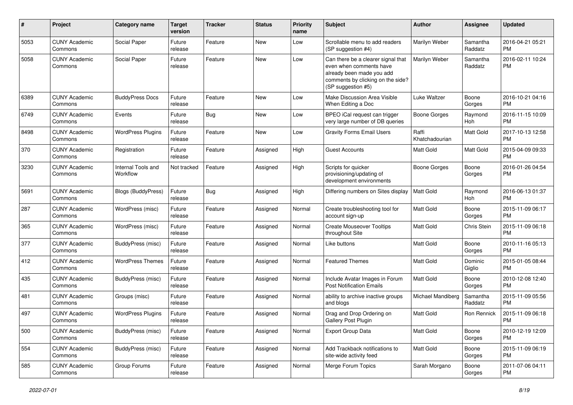| $\#$ | Project                         | <b>Category name</b>           | <b>Target</b><br>version | <b>Tracker</b> | <b>Status</b> | <b>Priority</b><br>name | <b>Subject</b>                                                                                                                                        | Author                  | <b>Assignee</b>     | <b>Updated</b>                |
|------|---------------------------------|--------------------------------|--------------------------|----------------|---------------|-------------------------|-------------------------------------------------------------------------------------------------------------------------------------------------------|-------------------------|---------------------|-------------------------------|
| 5053 | <b>CUNY Academic</b><br>Commons | Social Paper                   | Future<br>release        | Feature        | New           | Low                     | Scrollable menu to add readers<br>(SP suggestion #4)                                                                                                  | Marilyn Weber           | Samantha<br>Raddatz | 2016-04-21 05:21<br><b>PM</b> |
| 5058 | <b>CUNY Academic</b><br>Commons | Social Paper                   | Future<br>release        | Feature        | New           | Low                     | Can there be a clearer signal that<br>even when comments have<br>already been made you add<br>comments by clicking on the side?<br>(SP suggestion #5) | Marilyn Weber           | Samantha<br>Raddatz | 2016-02-11 10:24<br><b>PM</b> |
| 6389 | <b>CUNY Academic</b><br>Commons | <b>BuddyPress Docs</b>         | Future<br>release        | Feature        | New           | Low                     | Make Discussion Area Visible<br>When Editing a Doc                                                                                                    | Luke Waltzer            | Boone<br>Gorges     | 2016-10-21 04:16<br><b>PM</b> |
| 6749 | <b>CUNY Academic</b><br>Commons | Events                         | Future<br>release        | Bug            | New           | Low                     | BPEO iCal request can trigger<br>very large number of DB queries                                                                                      | <b>Boone Gorges</b>     | Raymond<br>Hoh      | 2016-11-15 10:09<br><b>PM</b> |
| 8498 | <b>CUNY Academic</b><br>Commons | <b>WordPress Plugins</b>       | Future<br>release        | Feature        | New           | Low                     | <b>Gravity Forms Email Users</b>                                                                                                                      | Raffi<br>Khatchadourian | Matt Gold           | 2017-10-13 12:58<br><b>PM</b> |
| 370  | <b>CUNY Academic</b><br>Commons | Registration                   | Future<br>release        | Feature        | Assigned      | High                    | <b>Guest Accounts</b>                                                                                                                                 | <b>Matt Gold</b>        | Matt Gold           | 2015-04-09 09:33<br><b>PM</b> |
| 3230 | <b>CUNY Academic</b><br>Commons | Internal Tools and<br>Workflow | Not tracked              | Feature        | Assigned      | High                    | Scripts for quicker<br>provisioning/updating of<br>development environments                                                                           | <b>Boone Gorges</b>     | Boone<br>Gorges     | 2016-01-26 04:54<br><b>PM</b> |
| 5691 | <b>CUNY Academic</b><br>Commons | Blogs (BuddyPress)             | Future<br>release        | Bug            | Assigned      | High                    | Differing numbers on Sites display                                                                                                                    | Matt Gold               | Raymond<br>Hoh      | 2016-06-13 01:37<br><b>PM</b> |
| 287  | <b>CUNY Academic</b><br>Commons | WordPress (misc)               | Future<br>release        | Feature        | Assigned      | Normal                  | Create troubleshooting tool for<br>account sign-up                                                                                                    | <b>Matt Gold</b>        | Boone<br>Gorges     | 2015-11-09 06:17<br><b>PM</b> |
| 365  | <b>CUNY Academic</b><br>Commons | WordPress (misc)               | Future<br>release        | Feature        | Assigned      | Normal                  | <b>Create Mouseover Tooltips</b><br>throughout Site                                                                                                   | <b>Matt Gold</b>        | Chris Stein         | 2015-11-09 06:18<br><b>PM</b> |
| 377  | <b>CUNY Academic</b><br>Commons | BuddyPress (misc)              | Future<br>release        | Feature        | Assigned      | Normal                  | Like buttons                                                                                                                                          | Matt Gold               | Boone<br>Gorges     | 2010-11-16 05:13<br><b>PM</b> |
| 412  | <b>CUNY Academic</b><br>Commons | <b>WordPress Themes</b>        | Future<br>release        | Feature        | Assigned      | Normal                  | <b>Featured Themes</b>                                                                                                                                | Matt Gold               | Dominic<br>Giglio   | 2015-01-05 08:44<br><b>PM</b> |
| 435  | <b>CUNY Academic</b><br>Commons | <b>BuddyPress (misc)</b>       | Future<br>release        | Feature        | Assigned      | Normal                  | Include Avatar Images in Forum<br><b>Post Notification Emails</b>                                                                                     | Matt Gold               | Boone<br>Gorges     | 2010-12-08 12:40<br><b>PM</b> |
| 481  | <b>CUNY Academic</b><br>Commons | Groups (misc)                  | Future<br>release        | Feature        | Assigned      | Normal                  | ability to archive inactive groups<br>and blogs                                                                                                       | Michael Mandiberg       | Samantha<br>Raddatz | 2015-11-09 05:56<br><b>PM</b> |
| 497  | <b>CUNY Academic</b><br>Commons | <b>WordPress Plugins</b>       | Future<br>release        | Feature        | Assigned      | Normal                  | Drag and Drop Ordering on<br>Gallery Post Plugin                                                                                                      | Matt Gold               | Ron Rennick         | 2015-11-09 06:18<br><b>PM</b> |
| 500  | <b>CUNY Academic</b><br>Commons | BuddyPress (misc)              | Future<br>release        | Feature        | Assigned      | Normal                  | Export Group Data                                                                                                                                     | Matt Gold               | Boone<br>Gorges     | 2010-12-19 12:09<br><b>PM</b> |
| 554  | <b>CUNY Academic</b><br>Commons | BuddyPress (misc)              | Future<br>release        | Feature        | Assigned      | Normal                  | Add Trackback notifications to<br>site-wide activity feed                                                                                             | Matt Gold               | Boone<br>Gorges     | 2015-11-09 06:19<br><b>PM</b> |
| 585  | <b>CUNY Academic</b><br>Commons | Group Forums                   | Future<br>release        | Feature        | Assigned      | Normal                  | Merge Forum Topics                                                                                                                                    | Sarah Morgano           | Boone<br>Gorges     | 2011-07-06 04:11<br>PM        |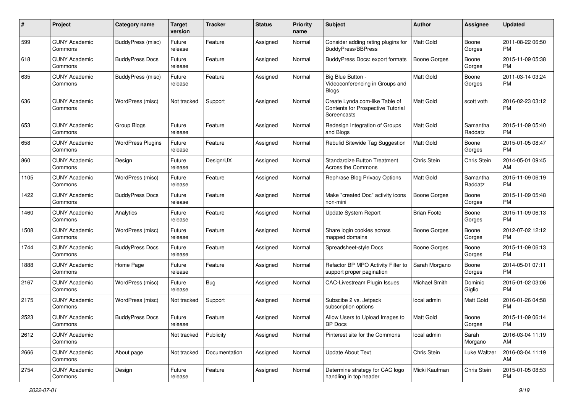| #    | Project                         | <b>Category name</b>     | <b>Target</b><br>version | <b>Tracker</b> | <b>Status</b> | <b>Priority</b><br>name | <b>Subject</b>                                                                            | Author              | <b>Assignee</b>     | <b>Updated</b>                |
|------|---------------------------------|--------------------------|--------------------------|----------------|---------------|-------------------------|-------------------------------------------------------------------------------------------|---------------------|---------------------|-------------------------------|
| 599  | <b>CUNY Academic</b><br>Commons | <b>BuddyPress</b> (misc) | Future<br>release        | Feature        | Assigned      | Normal                  | Consider adding rating plugins for<br><b>BuddyPress/BBPress</b>                           | <b>Matt Gold</b>    | Boone<br>Gorges     | 2011-08-22 06:50<br>PM.       |
| 618  | <b>CUNY Academic</b><br>Commons | <b>BuddyPress Docs</b>   | Future<br>release        | Feature        | Assigned      | Normal                  | <b>BuddyPress Docs: export formats</b>                                                    | <b>Boone Gorges</b> | Boone<br>Gorges     | 2015-11-09 05:38<br><b>PM</b> |
| 635  | <b>CUNY Academic</b><br>Commons | BuddyPress (misc)        | Future<br>release        | Feature        | Assigned      | Normal                  | Big Blue Button -<br>Videoconferencing in Groups and<br><b>Blogs</b>                      | Matt Gold           | Boone<br>Gorges     | 2011-03-14 03:24<br><b>PM</b> |
| 636  | <b>CUNY Academic</b><br>Commons | WordPress (misc)         | Not tracked              | Support        | Assigned      | Normal                  | Create Lynda.com-like Table of<br>Contents for Prospective Tutorial<br><b>Screencasts</b> | Matt Gold           | scott voth          | 2016-02-23 03:12<br>PM        |
| 653  | <b>CUNY Academic</b><br>Commons | Group Blogs              | Future<br>release        | Feature        | Assigned      | Normal                  | Redesign Integration of Groups<br>and Blogs                                               | <b>Matt Gold</b>    | Samantha<br>Raddatz | 2015-11-09 05:40<br><b>PM</b> |
| 658  | <b>CUNY Academic</b><br>Commons | <b>WordPress Plugins</b> | Future<br>release        | Feature        | Assigned      | Normal                  | Rebulid Sitewide Tag Suggestion                                                           | <b>Matt Gold</b>    | Boone<br>Gorges     | 2015-01-05 08:47<br>PM        |
| 860  | <b>CUNY Academic</b><br>Commons | Design                   | Future<br>release        | Design/UX      | Assigned      | Normal                  | <b>Standardize Button Treatment</b><br>Across the Commons                                 | Chris Stein         | Chris Stein         | 2014-05-01 09:45<br>AM        |
| 1105 | <b>CUNY Academic</b><br>Commons | WordPress (misc)         | Future<br>release        | Feature        | Assigned      | Normal                  | Rephrase Blog Privacy Options                                                             | <b>Matt Gold</b>    | Samantha<br>Raddatz | 2015-11-09 06:19<br><b>PM</b> |
| 1422 | <b>CUNY Academic</b><br>Commons | <b>BuddyPress Docs</b>   | Future<br>release        | Feature        | Assigned      | Normal                  | Make "created Doc" activity icons<br>non-mini                                             | <b>Boone Gorges</b> | Boone<br>Gorges     | 2015-11-09 05:48<br>PM.       |
| 1460 | <b>CUNY Academic</b><br>Commons | Analytics                | Future<br>release        | Feature        | Assigned      | Normal                  | Update System Report                                                                      | <b>Brian Foote</b>  | Boone<br>Gorges     | 2015-11-09 06:13<br>PM.       |
| 1508 | <b>CUNY Academic</b><br>Commons | WordPress (misc)         | Future<br>release        | Feature        | Assigned      | Normal                  | Share login cookies across<br>mapped domains                                              | <b>Boone Gorges</b> | Boone<br>Gorges     | 2012-07-02 12:12<br><b>PM</b> |
| 1744 | <b>CUNY Academic</b><br>Commons | <b>BuddyPress Docs</b>   | Future<br>release        | Feature        | Assigned      | Normal                  | Spreadsheet-style Docs                                                                    | Boone Gorges        | Boone<br>Gorges     | 2015-11-09 06:13<br><b>PM</b> |
| 1888 | <b>CUNY Academic</b><br>Commons | Home Page                | Future<br>release        | Feature        | Assigned      | Normal                  | Refactor BP MPO Activity Filter to<br>support proper pagination                           | Sarah Morgano       | Boone<br>Gorges     | 2014-05-01 07:11<br>PM        |
| 2167 | <b>CUNY Academic</b><br>Commons | WordPress (misc)         | Future<br>release        | Bug            | Assigned      | Normal                  | <b>CAC-Livestream Plugin Issues</b>                                                       | Michael Smith       | Dominic<br>Giglio   | 2015-01-02 03:06<br>PM.       |
| 2175 | <b>CUNY Academic</b><br>Commons | WordPress (misc)         | Not tracked              | Support        | Assigned      | Normal                  | Subscibe 2 vs. Jetpack<br>subscription options                                            | local admin         | Matt Gold           | 2016-01-26 04:58<br><b>PM</b> |
| 2523 | <b>CUNY Academic</b><br>Commons | <b>BuddyPress Docs</b>   | Future<br>release        | Feature        | Assigned      | Normal                  | Allow Users to Upload Images to<br>BP Docs                                                | Matt Gold           | Boone<br>Gorges     | 2015-11-09 06:14<br>PM        |
| 2612 | <b>CUNY Academic</b><br>Commons |                          | Not tracked              | Publicity      | Assigned      | Normal                  | Pinterest site for the Commons                                                            | local admin         | Sarah<br>Morgano    | 2016-03-04 11:19<br>AM        |
| 2666 | <b>CUNY Academic</b><br>Commons | About page               | Not tracked              | Documentation  | Assigned      | Normal                  | <b>Update About Text</b>                                                                  | Chris Stein         | Luke Waltzer        | 2016-03-04 11:19<br>AM        |
| 2754 | <b>CUNY Academic</b><br>Commons | Design                   | Future<br>release        | Feature        | Assigned      | Normal                  | Determine strategy for CAC logo<br>handling in top header                                 | Micki Kaufman       | Chris Stein         | 2015-01-05 08:53<br><b>PM</b> |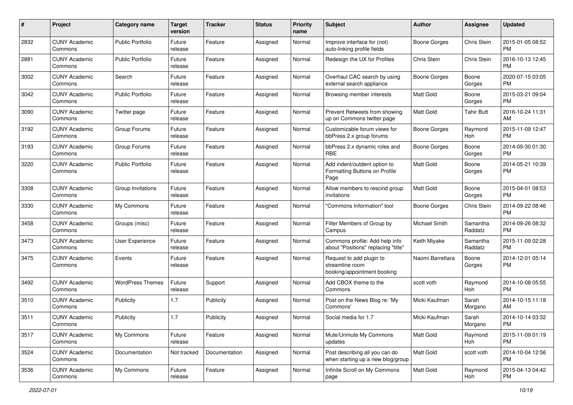| #    | Project                         | <b>Category name</b>    | <b>Target</b><br>version | <b>Tracker</b> | <b>Status</b> | Priority<br>name | <b>Subject</b>                                                             | <b>Author</b>       | <b>Assignee</b>     | <b>Updated</b>                |
|------|---------------------------------|-------------------------|--------------------------|----------------|---------------|------------------|----------------------------------------------------------------------------|---------------------|---------------------|-------------------------------|
| 2832 | <b>CUNY Academic</b><br>Commons | <b>Public Portfolio</b> | Future<br>release        | Feature        | Assigned      | Normal           | Improve interface for (not)<br>auto-linking profile fields                 | <b>Boone Gorges</b> | Chris Stein         | 2015-01-05 08:52<br><b>PM</b> |
| 2881 | <b>CUNY Academic</b><br>Commons | <b>Public Portfolio</b> | Future<br>release        | Feature        | Assigned      | Normal           | Redesign the UX for Profiles                                               | Chris Stein         | Chris Stein         | 2016-10-13 12:45<br><b>PM</b> |
| 3002 | <b>CUNY Academic</b><br>Commons | Search                  | Future<br>release        | Feature        | Assigned      | Normal           | Overhaul CAC search by using<br>external search appliance                  | Boone Gorges        | Boone<br>Gorges     | 2020-07-15 03:05<br><b>PM</b> |
| 3042 | <b>CUNY Academic</b><br>Commons | Public Portfolio        | Future<br>release        | Feature        | Assigned      | Normal           | Browsing member interests                                                  | <b>Matt Gold</b>    | Boone<br>Gorges     | 2015-03-21 09:04<br>PM.       |
| 3090 | <b>CUNY Academic</b><br>Commons | Twitter page            | Future<br>release        | Feature        | Assigned      | Normal           | Prevent Retweets from showing<br>up on Commons twitter page                | Matt Gold           | <b>Tahir Butt</b>   | 2016-10-24 11:31<br>AM        |
| 3192 | <b>CUNY Academic</b><br>Commons | Group Forums            | Future<br>release        | Feature        | Assigned      | Normal           | Customizable forum views for<br>bbPress 2.x group forums                   | Boone Gorges        | Raymond<br>Hoh      | 2015-11-09 12:47<br><b>PM</b> |
| 3193 | <b>CUNY Academic</b><br>Commons | Group Forums            | Future<br>release        | Feature        | Assigned      | Normal           | bbPress 2.x dynamic roles and<br>RBE                                       | <b>Boone Gorges</b> | Boone<br>Gorges     | 2014-09-30 01:30<br>PM.       |
| 3220 | <b>CUNY Academic</b><br>Commons | <b>Public Portfolio</b> | Future<br>release        | Feature        | Assigned      | Normal           | Add indent/outdent option to<br>Formatting Buttons on Profile<br>Page      | <b>Matt Gold</b>    | Boone<br>Gorges     | 2014-05-21 10:39<br>PM.       |
| 3308 | <b>CUNY Academic</b><br>Commons | Group Invitations       | Future<br>release        | Feature        | Assigned      | Normal           | Allow members to rescind group<br>invitations                              | Matt Gold           | Boone<br>Gorges     | 2015-04-01 08:53<br>PM.       |
| 3330 | <b>CUNY Academic</b><br>Commons | My Commons              | Future<br>release        | Feature        | Assigned      | Normal           | "Commons Information" tool                                                 | <b>Boone Gorges</b> | Chris Stein         | 2014-09-22 08:46<br><b>PM</b> |
| 3458 | <b>CUNY Academic</b><br>Commons | Groups (misc)           | Future<br>release        | Feature        | Assigned      | Normal           | Filter Members of Group by<br>Campus                                       | Michael Smith       | Samantha<br>Raddatz | 2014-09-26 08:32<br><b>PM</b> |
| 3473 | <b>CUNY Academic</b><br>Commons | User Experience         | Future<br>release        | Feature        | Assigned      | Normal           | Commons profile: Add help info<br>about "Positions" replacing "title"      | Keith Miyake        | Samantha<br>Raddatz | 2015-11-09 02:28<br><b>PM</b> |
| 3475 | <b>CUNY Academic</b><br>Commons | Events                  | Future<br>release        | Feature        | Assigned      | Normal           | Request to add plugin to<br>streamline room<br>booking/appointment booking | Naomi Barrettara    | Boone<br>Gorges     | 2014-12-01 05:14<br><b>PM</b> |
| 3492 | <b>CUNY Academic</b><br>Commons | <b>WordPress Themes</b> | Future<br>release        | Support        | Assigned      | Normal           | Add CBOX theme to the<br>Commons                                           | scott voth          | Raymond<br>Hoh      | 2014-10-08 05:55<br><b>PM</b> |
| 3510 | <b>CUNY Academic</b><br>Commons | Publicity               | 1.7                      | Publicity      | Assigned      | Normal           | Post on the News Blog re: 'My<br>Commons'                                  | Micki Kaufman       | Sarah<br>Morgano    | 2014-10-15 11:18<br>AM.       |
| 3511 | <b>CUNY Academic</b><br>Commons | Publicity               | 1.7                      | Publicity      | Assigned      | Normal           | Social media for 1.7                                                       | Micki Kaufman       | Sarah<br>Morgano    | 2014-10-14 03:32<br>PM        |
| 3517 | <b>CUNY Academic</b><br>Commons | My Commons              | Future<br>release        | Feature        | Assigned      | Normal           | Mute/Unmute My Commons<br>updates                                          | Matt Gold           | Raymond<br>Hoh      | 2015-11-09 01:19<br><b>PM</b> |
| 3524 | <b>CUNY Academic</b><br>Commons | Documentation           | Not tracked              | Documentation  | Assigned      | Normal           | Post describing all you can do<br>when starting up a new blog/group        | Matt Gold           | scott voth          | 2014-10-04 12:56<br><b>PM</b> |
| 3536 | <b>CUNY Academic</b><br>Commons | My Commons              | Future<br>release        | Feature        | Assigned      | Normal           | Infinite Scroll on My Commons<br>page                                      | Matt Gold           | Raymond<br>Hoh      | 2015-04-13 04:42<br><b>PM</b> |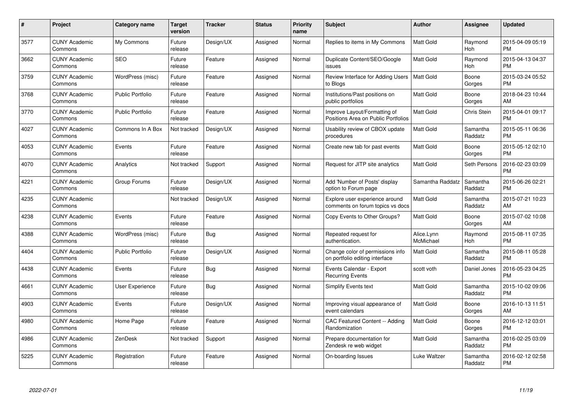| #    | Project                         | <b>Category name</b>    | <b>Target</b><br>version | <b>Tracker</b> | <b>Status</b> | <b>Priority</b><br>name | <b>Subject</b>                                                      | <b>Author</b>           | Assignee            | <b>Updated</b>                |
|------|---------------------------------|-------------------------|--------------------------|----------------|---------------|-------------------------|---------------------------------------------------------------------|-------------------------|---------------------|-------------------------------|
| 3577 | <b>CUNY Academic</b><br>Commons | My Commons              | Future<br>release        | Design/UX      | Assigned      | Normal                  | Replies to items in My Commons                                      | <b>Matt Gold</b>        | Raymond<br>Hoh      | 2015-04-09 05:19<br><b>PM</b> |
| 3662 | <b>CUNY Academic</b><br>Commons | <b>SEO</b>              | Future<br>release        | Feature        | Assigned      | Normal                  | Duplicate Content/SEO/Google<br>issues                              | <b>Matt Gold</b>        | Raymond<br>Hoh      | 2015-04-13 04:37<br>PM        |
| 3759 | <b>CUNY Academic</b><br>Commons | WordPress (misc)        | Future<br>release        | Feature        | Assigned      | Normal                  | Review Interface for Adding Users<br>to Blogs                       | <b>Matt Gold</b>        | Boone<br>Gorges     | 2015-03-24 05:52<br><b>PM</b> |
| 3768 | <b>CUNY Academic</b><br>Commons | <b>Public Portfolio</b> | Future<br>release        | Feature        | Assigned      | Normal                  | Institutions/Past positions on<br>public portfolios                 | <b>Matt Gold</b>        | Boone<br>Gorges     | 2018-04-23 10:44<br>AM        |
| 3770 | <b>CUNY Academic</b><br>Commons | <b>Public Portfolio</b> | Future<br>release        | Feature        | Assigned      | Normal                  | Improve Layout/Formatting of<br>Positions Area on Public Portfolios | <b>Matt Gold</b>        | <b>Chris Stein</b>  | 2015-04-01 09:17<br><b>PM</b> |
| 4027 | <b>CUNY Academic</b><br>Commons | Commons In A Box        | Not tracked              | Design/UX      | Assigned      | Normal                  | Usability review of CBOX update<br>procedures                       | <b>Matt Gold</b>        | Samantha<br>Raddatz | 2015-05-11 06:36<br><b>PM</b> |
| 4053 | <b>CUNY Academic</b><br>Commons | Events                  | Future<br>release        | Feature        | Assigned      | Normal                  | Create new tab for past events                                      | Matt Gold               | Boone<br>Gorges     | 2015-05-12 02:10<br><b>PM</b> |
| 4070 | <b>CUNY Academic</b><br>Commons | Analytics               | Not tracked              | Support        | Assigned      | Normal                  | Request for JITP site analytics                                     | <b>Matt Gold</b>        | Seth Persons        | 2016-02-23 03:09<br><b>PM</b> |
| 4221 | <b>CUNY Academic</b><br>Commons | Group Forums            | Future<br>release        | Design/UX      | Assigned      | Normal                  | Add 'Number of Posts' display<br>option to Forum page               | Samantha Raddatz        | Samantha<br>Raddatz | 2015-06-26 02:21<br><b>PM</b> |
| 4235 | <b>CUNY Academic</b><br>Commons |                         | Not tracked              | Design/UX      | Assigned      | Normal                  | Explore user experience around<br>comments on forum topics vs docs  | <b>Matt Gold</b>        | Samantha<br>Raddatz | 2015-07-21 10:23<br>AM        |
| 4238 | <b>CUNY Academic</b><br>Commons | Events                  | Future<br>release        | Feature        | Assigned      | Normal                  | Copy Events to Other Groups?                                        | Matt Gold               | Boone<br>Gorges     | 2015-07-02 10:08<br>AM        |
| 4388 | <b>CUNY Academic</b><br>Commons | WordPress (misc)        | Future<br>release        | Bug            | Assigned      | Normal                  | Repeated request for<br>authentication.                             | Alice.Lynn<br>McMichael | Raymond<br>Hoh      | 2015-08-11 07:35<br><b>PM</b> |
| 4404 | <b>CUNY Academic</b><br>Commons | <b>Public Portfolio</b> | Future<br>release        | Design/UX      | Assigned      | Normal                  | Change color of permissions info<br>on portfolio editing interface  | Matt Gold               | Samantha<br>Raddatz | 2015-08-11 05:28<br><b>PM</b> |
| 4438 | <b>CUNY Academic</b><br>Commons | Events                  | Future<br>release        | Bug            | Assigned      | Normal                  | Events Calendar - Export<br><b>Recurring Events</b>                 | scott voth              | Daniel Jones        | 2016-05-23 04:25<br><b>PM</b> |
| 4661 | <b>CUNY Academic</b><br>Commons | User Experience         | Future<br>release        | Bug            | Assigned      | Normal                  | Simplify Events text                                                | <b>Matt Gold</b>        | Samantha<br>Raddatz | 2015-10-02 09:06<br><b>PM</b> |
| 4903 | <b>CUNY Academic</b><br>Commons | Events                  | Future<br>release        | Design/UX      | Assigned      | Normal                  | Improving visual appearance of<br>event calendars                   | Matt Gold               | Boone<br>Gorges     | 2016-10-13 11:51<br>AM        |
| 4980 | <b>CUNY Academic</b><br>Commons | Home Page               | Future<br>release        | Feature        | Assigned      | Normal                  | CAC Featured Content -- Adding<br>Randomization                     | <b>Matt Gold</b>        | Boone<br>Gorges     | 2016-12-12 03:01<br><b>PM</b> |
| 4986 | <b>CUNY Academic</b><br>Commons | <b>ZenDesk</b>          | Not tracked              | Support        | Assigned      | Normal                  | Prepare documentation for<br>Zendesk re web widget                  | Matt Gold               | Samantha<br>Raddatz | 2016-02-25 03:09<br><b>PM</b> |
| 5225 | CUNY Academic<br>Commons        | Registration            | Future<br>release        | Feature        | Assigned      | Normal                  | On-boarding Issues                                                  | Luke Waltzer            | Samantha<br>Raddatz | 2016-02-12 02:58<br><b>PM</b> |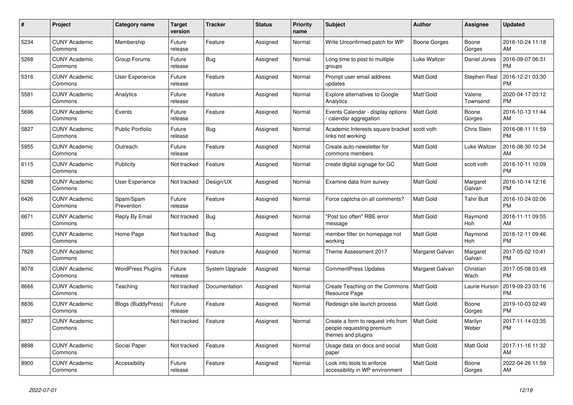| $\pmb{\#}$ | <b>Project</b>                  | <b>Category name</b>     | <b>Target</b><br>version | <b>Tracker</b> | <b>Status</b> | <b>Priority</b><br>name | <b>Subject</b>                                                                        | <b>Author</b>    | Assignee            | <b>Updated</b>                |
|------------|---------------------------------|--------------------------|--------------------------|----------------|---------------|-------------------------|---------------------------------------------------------------------------------------|------------------|---------------------|-------------------------------|
| 5234       | <b>CUNY Academic</b><br>Commons | Membership               | Future<br>release        | Feature        | Assigned      | Normal                  | Write Unconfirmed patch for WP                                                        | Boone Gorges     | Boone<br>Gorges     | 2016-10-24 11:18<br>AM        |
| 5268       | <b>CUNY Academic</b><br>Commons | Group Forums             | Future<br>release        | Bug            | Assigned      | Normal                  | Long-time to post to multiple<br>groups                                               | Luke Waltzer     | Daniel Jones        | 2016-09-07 06:31<br><b>PM</b> |
| 5316       | <b>CUNY Academic</b><br>Commons | User Experience          | Future<br>release        | Feature        | Assigned      | Normal                  | Prompt user email address<br>updates                                                  | Matt Gold        | Stephen Real        | 2016-12-21 03:30<br><b>PM</b> |
| 5581       | <b>CUNY Academic</b><br>Commons | Analytics                | Future<br>release        | Feature        | Assigned      | Normal                  | <b>Explore alternatives to Google</b><br>Analytics                                    | <b>Matt Gold</b> | Valerie<br>Townsend | 2020-04-17 03:12<br><b>PM</b> |
| 5696       | <b>CUNY Academic</b><br>Commons | Events                   | Future<br>release        | Feature        | Assigned      | Normal                  | Events Calendar - display options<br>calendar aggregation                             | <b>Matt Gold</b> | Boone<br>Gorges     | 2016-10-13 11:44<br>AM        |
| 5827       | <b>CUNY Academic</b><br>Commons | <b>Public Portfolio</b>  | Future<br>release        | Bug            | Assigned      | Normal                  | Academic Interests square bracket<br>links not working                                | scott voth       | Chris Stein         | 2016-08-11 11:59<br><b>PM</b> |
| 5955       | <b>CUNY Academic</b><br>Commons | Outreach                 | Future<br>release        | Feature        | Assigned      | Normal                  | Create auto-newsletter for<br>commons members                                         | <b>Matt Gold</b> | Luke Waltzer        | 2016-08-30 10:34<br>AM        |
| 6115       | <b>CUNY Academic</b><br>Commons | Publicity                | Not tracked              | Feature        | Assigned      | Normal                  | create digital signage for GC                                                         | <b>Matt Gold</b> | scott voth          | 2016-10-11 10:09<br><b>PM</b> |
| 6298       | <b>CUNY Academic</b><br>Commons | User Experience          | Not tracked              | Design/UX      | Assigned      | Normal                  | Examine data from survey                                                              | Matt Gold        | Margaret<br>Galvan  | 2016-10-14 12:16<br><b>PM</b> |
| 6426       | <b>CUNY Academic</b><br>Commons | Spam/Spam<br>Prevention  | Future<br>release        | Feature        | Assigned      | Normal                  | Force captcha on all comments?                                                        | <b>Matt Gold</b> | <b>Tahir Butt</b>   | 2016-10-24 02:06<br><b>PM</b> |
| 6671       | <b>CUNY Academic</b><br>Commons | Reply By Email           | Not tracked              | Bug            | Assigned      | Normal                  | "Post too often" RBE error<br>message                                                 | Matt Gold        | Raymond<br>Hoh      | 2016-11-11 09:55<br>AM        |
| 6995       | <b>CUNY Academic</b><br>Commons | Home Page                | Not tracked              | Bug            | Assigned      | Normal                  | member filter on homepage not<br>workina                                              | <b>Matt Gold</b> | Raymond<br>Hoh      | 2016-12-11 09:46<br><b>PM</b> |
| 7828       | <b>CUNY Academic</b><br>Commons |                          | Not tracked              | Feature        | Assigned      | Normal                  | Theme Assessment 2017                                                                 | Margaret Galvan  | Margaret<br>Galvan  | 2017-05-02 10:41<br><b>PM</b> |
| 8078       | <b>CUNY Academic</b><br>Commons | <b>WordPress Plugins</b> | Future<br>release        | System Upgrade | Assigned      | Normal                  | <b>CommentPress Updates</b>                                                           | Margaret Galvan  | Christian<br>Wach   | 2017-05-08 03:49<br><b>PM</b> |
| 8666       | <b>CUNY Academic</b><br>Commons | Teaching                 | Not tracked              | Documentation  | Assigned      | Normal                  | Create Teaching on the Commons<br>Resource Page                                       | <b>Matt Gold</b> | Laurie Hurson       | 2019-09-23 03:16<br><b>PM</b> |
| 8836       | <b>CUNY Academic</b><br>Commons | Blogs (BuddyPress)       | Future<br>release        | Feature        | Assigned      | Normal                  | Redesign site launch process                                                          | Matt Gold        | Boone<br>Gorges     | 2019-10-03 02:49<br><b>PM</b> |
| 8837       | <b>CUNY Academic</b><br>Commons |                          | Not tracked              | Feature        | Assigned      | Normal                  | Create a form to request info from<br>people requesting premium<br>themes and plugins | <b>Matt Gold</b> | Marilyn<br>Weber    | 2017-11-14 03:35<br><b>PM</b> |
| 8898       | <b>CUNY Academic</b><br>Commons | Social Paper             | Not tracked              | Feature        | Assigned      | Normal                  | Usage data on docs and social<br>paper                                                | Matt Gold        | Matt Gold           | 2017-11-16 11:32<br>AM        |
| 8900       | <b>CUNY Academic</b><br>Commons | Accessibility            | Future<br>release        | Feature        | Assigned      | Normal                  | Look into tools to enforce<br>accessibility in WP environment                         | <b>Matt Gold</b> | Boone<br>Gorges     | 2022-04-26 11:59<br>AM        |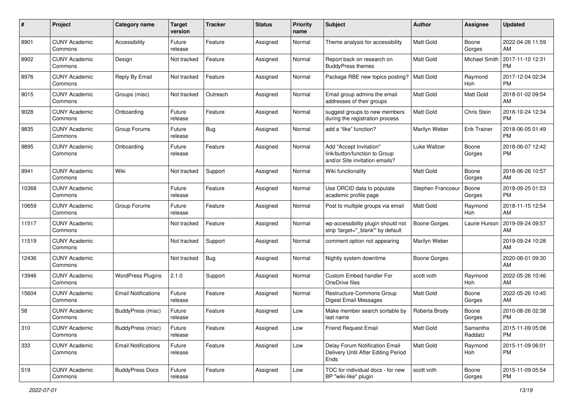| #     | Project                         | <b>Category name</b>       | <b>Target</b><br>version | <b>Tracker</b> | <b>Status</b> | Priority<br>name | <b>Subject</b>                                                                             | <b>Author</b>       | <b>Assignee</b>     | <b>Updated</b>                |
|-------|---------------------------------|----------------------------|--------------------------|----------------|---------------|------------------|--------------------------------------------------------------------------------------------|---------------------|---------------------|-------------------------------|
| 8901  | <b>CUNY Academic</b><br>Commons | Accessibility              | Future<br>release        | Feature        | Assigned      | Normal           | Theme analysis for accessibility                                                           | <b>Matt Gold</b>    | Boone<br>Gorges     | 2022-04-26 11:59<br>AM        |
| 8902  | <b>CUNY Academic</b><br>Commons | Design                     | Not tracked              | Feature        | Assigned      | Normal           | Report back on research on<br><b>BuddyPress themes</b>                                     | <b>Matt Gold</b>    | Michael Smith       | 2017-11-10 12:31<br><b>PM</b> |
| 8976  | <b>CUNY Academic</b><br>Commons | Reply By Email             | Not tracked              | Feature        | Assigned      | Normal           | Package RBE new topics posting?                                                            | <b>Matt Gold</b>    | Raymond<br>Hoh      | 2017-12-04 02:34<br><b>PM</b> |
| 9015  | <b>CUNY Academic</b><br>Commons | Groups (misc)              | Not tracked              | Outreach       | Assigned      | Normal           | Email group admins the email<br>addresses of their groups                                  | <b>Matt Gold</b>    | Matt Gold           | 2018-01-02 09:54<br>AM        |
| 9028  | <b>CUNY Academic</b><br>Commons | Onboarding                 | Future<br>release        | Feature        | Assigned      | Normal           | suggest groups to new members<br>during the registration process                           | <b>Matt Gold</b>    | Chris Stein         | 2018-10-24 12:34<br><b>PM</b> |
| 9835  | <b>CUNY Academic</b><br>Commons | Group Forums               | Future<br>release        | Bug            | Assigned      | Normal           | add a "like" function?                                                                     | Marilyn Weber       | Erik Trainer        | 2018-06-05 01:49<br><b>PM</b> |
| 9895  | <b>CUNY Academic</b><br>Commons | Onboarding                 | Future<br>release        | Feature        | Assigned      | Normal           | Add "Accept Invitation"<br>link/button/function to Group<br>and/or Site invitation emails? | Luke Waltzer        | Boone<br>Gorges     | 2018-06-07 12:42<br><b>PM</b> |
| 9941  | <b>CUNY Academic</b><br>Commons | Wiki                       | Not tracked              | Support        | Assigned      | Normal           | Wiki functionality                                                                         | Matt Gold           | Boone<br>Gorges     | 2018-06-26 10:57<br>AM        |
| 10368 | <b>CUNY Academic</b><br>Commons |                            | Future<br>release        | Feature        | Assigned      | Normal           | Use ORCID data to populate<br>academic profile page                                        | Stephen Francoeu    | Boone<br>Gorges     | 2018-09-25 01:53<br><b>PM</b> |
| 10659 | <b>CUNY Academic</b><br>Commons | Group Forums               | Future<br>release        | Feature        | Assigned      | Normal           | Post to multiple groups via email                                                          | <b>Matt Gold</b>    | Raymond<br>Hoh      | 2018-11-15 12:54<br>AM        |
| 11517 | <b>CUNY Academic</b><br>Commons |                            | Not tracked              | Feature        | Assigned      | Normal           | wp-accessibility plugin should not<br>strip 'target="_blank"' by default                   | <b>Boone Gorges</b> | Laurie Hurson       | 2019-09-24 09:57<br>AM        |
| 11519 | <b>CUNY Academic</b><br>Commons |                            | Not tracked              | Support        | Assigned      | Normal           | comment option not appearing                                                               | Marilyn Weber       |                     | 2019-09-24 10:28<br>AM        |
| 12436 | <b>CUNY Academic</b><br>Commons |                            | Not tracked              | <b>Bug</b>     | Assigned      | Normal           | Nightly system downtime                                                                    | Boone Gorges        |                     | 2020-08-01 09:30<br>AM        |
| 13946 | <b>CUNY Academic</b><br>Commons | <b>WordPress Plugins</b>   | 2.1.0                    | Support        | Assigned      | Normal           | Custom Embed handler For<br>OneDrive files                                                 | scott voth          | Raymond<br>Hoh      | 2022-05-26 10:46<br>AM        |
| 15604 | <b>CUNY Academic</b><br>Commons | <b>Email Notifications</b> | Future<br>release        | Feature        | Assigned      | Normal           | Restructure Commons Group<br><b>Digest Email Messages</b>                                  | Matt Gold           | Boone<br>Gorges     | 2022-05-26 10:45<br>AM        |
| 58    | <b>CUNY Academic</b><br>Commons | BuddyPress (misc)          | Future<br>release        | Feature        | Assigned      | Low              | Make member search sortable by<br>last name                                                | Roberta Brody       | Boone<br>Gorges     | 2010-08-26 02:38<br><b>PM</b> |
| 310   | <b>CUNY Academic</b><br>Commons | <b>BuddyPress</b> (misc)   | Future<br>release        | Feature        | Assigned      | Low              | <b>Friend Request Email</b>                                                                | Matt Gold           | Samantha<br>Raddatz | 2015-11-09 05:08<br><b>PM</b> |
| 333   | <b>CUNY Academic</b><br>Commons | <b>Email Notifications</b> | Future<br>release        | Feature        | Assigned      | Low              | Delay Forum Notification Email<br>Delivery Until After Editing Period<br>Ends              | Matt Gold           | Raymond<br>Hoh      | 2015-11-09 06:01<br><b>PM</b> |
| 519   | <b>CUNY Academic</b><br>Commons | <b>BuddyPress Docs</b>     | Future<br>release        | Feature        | Assigned      | Low              | TOC for individual docs - for new<br>BP "wiki-like" plugin                                 | scott voth          | Boone<br>Gorges     | 2015-11-09 05:54<br>PM        |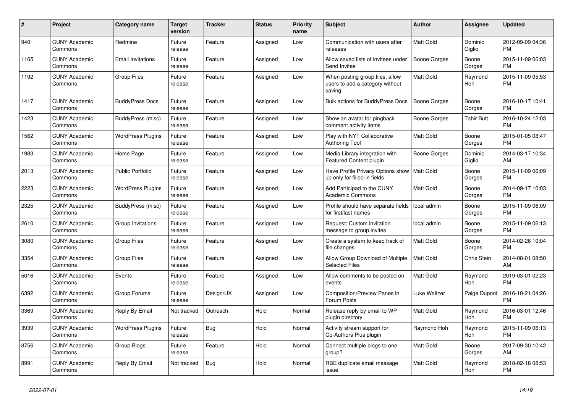| #    | <b>Project</b>                  | <b>Category name</b>     | <b>Target</b><br>version | <b>Tracker</b> | <b>Status</b> | <b>Priority</b><br>name | <b>Subject</b>                                                                | <b>Author</b>       | Assignee           | <b>Updated</b>                |
|------|---------------------------------|--------------------------|--------------------------|----------------|---------------|-------------------------|-------------------------------------------------------------------------------|---------------------|--------------------|-------------------------------|
| 940  | <b>CUNY Academic</b><br>Commons | Redmine                  | Future<br>release        | Feature        | Assigned      | Low                     | Communication with users after<br>releases                                    | <b>Matt Gold</b>    | Dominic<br>Giglio  | 2012-09-09 04:36<br><b>PM</b> |
| 1165 | <b>CUNY Academic</b><br>Commons | <b>Email Invitations</b> | Future<br>release        | Feature        | Assigned      | Low                     | Allow saved lists of invitees under<br>Send Invites                           | <b>Boone Gorges</b> | Boone<br>Gorges    | 2015-11-09 06:03<br><b>PM</b> |
| 1192 | <b>CUNY Academic</b><br>Commons | <b>Group Files</b>       | Future<br>release        | Feature        | Assigned      | Low                     | When posting group files, allow<br>users to add a category without<br>saving  | Matt Gold           | Raymond<br>Hoh     | 2015-11-09 05:53<br><b>PM</b> |
| 1417 | <b>CUNY Academic</b><br>Commons | <b>BuddyPress Docs</b>   | Future<br>release        | Feature        | Assigned      | Low                     | <b>Bulk actions for BuddyPress Docs</b>                                       | <b>Boone Gorges</b> | Boone<br>Gorges    | 2016-10-17 10:41<br><b>PM</b> |
| 1423 | <b>CUNY Academic</b><br>Commons | BuddyPress (misc)        | Future<br>release        | Feature        | Assigned      | Low                     | Show an avatar for pingback<br>comment activity items                         | Boone Gorges        | Tahir Butt         | 2016-10-24 12:03<br><b>PM</b> |
| 1562 | <b>CUNY Academic</b><br>Commons | <b>WordPress Plugins</b> | Future<br>release        | Feature        | Assigned      | Low                     | Play with NYT Collaborative<br>Authoring Tool                                 | <b>Matt Gold</b>    | Boone<br>Gorges    | 2015-01-05 08:47<br><b>PM</b> |
| 1983 | <b>CUNY Academic</b><br>Commons | Home Page                | Future<br>release        | Feature        | Assigned      | Low                     | Media Library integration with<br><b>Featured Content plugin</b>              | Boone Gorges        | Dominic<br>Giglio  | 2014-03-17 10:34<br>AM        |
| 2013 | <b>CUNY Academic</b><br>Commons | <b>Public Portfolio</b>  | Future<br>release        | Feature        | Assigned      | Low                     | Have Profile Privacy Options show   Matt Gold<br>up only for filled-in fields |                     | Boone<br>Gorges    | 2015-11-09 06:09<br><b>PM</b> |
| 2223 | <b>CUNY Academic</b><br>Commons | <b>WordPress Plugins</b> | Future<br>release        | Feature        | Assigned      | Low                     | Add Participad to the CUNY<br><b>Academic Commons</b>                         | Matt Gold           | Boone<br>Gorges    | 2014-09-17 10:03<br><b>PM</b> |
| 2325 | <b>CUNY Academic</b><br>Commons | BuddyPress (misc)        | Future<br>release        | Feature        | Assigned      | Low                     | Profile should have separate fields<br>for first/last names                   | local admin         | Boone<br>Gorges    | 2015-11-09 06:09<br><b>PM</b> |
| 2610 | <b>CUNY Academic</b><br>Commons | Group Invitations        | Future<br>release        | Feature        | Assigned      | Low                     | Request: Custom invitation<br>message to group invites                        | local admin         | Boone<br>Gorges    | 2015-11-09 06:13<br><b>PM</b> |
| 3080 | <b>CUNY Academic</b><br>Commons | <b>Group Files</b>       | Future<br>release        | Feature        | Assigned      | Low                     | Create a system to keep track of<br>file changes                              | <b>Matt Gold</b>    | Boone<br>Gorges    | 2014-02-26 10:04<br><b>PM</b> |
| 3354 | <b>CUNY Academic</b><br>Commons | <b>Group Files</b>       | Future<br>release        | Feature        | Assigned      | Low                     | Allow Group Download of Multiple<br><b>Selected Files</b>                     | <b>Matt Gold</b>    | <b>Chris Stein</b> | 2014-08-01 08:50<br>AM        |
| 5016 | <b>CUNY Academic</b><br>Commons | Events                   | Future<br>release        | Feature        | Assigned      | Low                     | Allow comments to be posted on<br>events                                      | <b>Matt Gold</b>    | Raymond<br>Hoh     | 2019-03-01 02:23<br><b>PM</b> |
| 6392 | <b>CUNY Academic</b><br>Commons | Group Forums             | Future<br>release        | Design/UX      | Assigned      | Low                     | Composition/Preview Panes in<br>Forum Posts                                   | Luke Waltzer        | Paige Dupont       | 2016-10-21 04:26<br><b>PM</b> |
| 3369 | <b>CUNY Academic</b><br>Commons | Reply By Email           | Not tracked              | Outreach       | Hold          | Normal                  | Release reply by email to WP<br>plugin directory                              | Matt Gold           | Raymond<br>Hoh     | 2016-03-01 12:46<br><b>PM</b> |
| 3939 | <b>CUNY Academic</b><br>Commons | <b>WordPress Plugins</b> | Future<br>release        | Bug            | Hold          | Normal                  | Activity stream support for<br>Co-Authors Plus plugin                         | Raymond Hoh         | Raymond<br>Hoh     | 2015-11-09 06:13<br><b>PM</b> |
| 8756 | <b>CUNY Academic</b><br>Commons | Group Blogs              | Future<br>release        | Feature        | Hold          | Normal                  | Connect multiple blogs to one<br>group?                                       | Matt Gold           | Boone<br>Gorges    | 2017-09-30 10:42<br>AM        |
| 8991 | <b>CUNY Academic</b><br>Commons | Reply By Email           | Not tracked              | Bug            | Hold          | Normal                  | RBE duplicate email message<br>issue                                          | Matt Gold           | Raymond<br>Hoh     | 2018-02-18 08:53<br><b>PM</b> |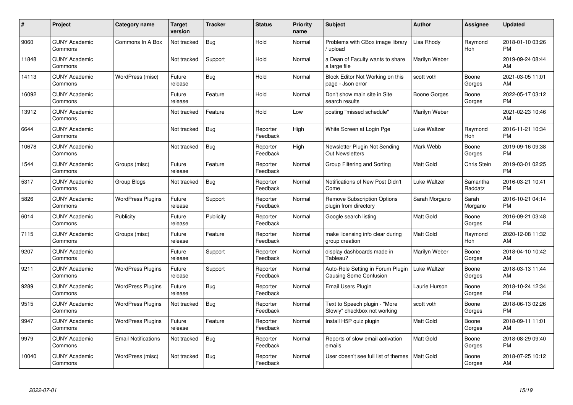| #     | Project                         | <b>Category name</b>       | Target<br>version | <b>Tracker</b> | <b>Status</b>        | <b>Priority</b><br>name | <b>Subject</b>                                                     | <b>Author</b>    | Assignee            | <b>Updated</b>                |
|-------|---------------------------------|----------------------------|-------------------|----------------|----------------------|-------------------------|--------------------------------------------------------------------|------------------|---------------------|-------------------------------|
| 9060  | <b>CUNY Academic</b><br>Commons | Commons In A Box           | Not tracked       | <b>Bug</b>     | Hold                 | Normal                  | Problems with CBox image library<br>upload                         | Lisa Rhody       | Raymond<br>Hoh      | 2018-01-10 03:26<br><b>PM</b> |
| 11848 | <b>CUNY Academic</b><br>Commons |                            | Not tracked       | Support        | Hold                 | Normal                  | a Dean of Faculty wants to share<br>a large file                   | Marilyn Weber    |                     | 2019-09-24 08:44<br>AM        |
| 14113 | <b>CUNY Academic</b><br>Commons | WordPress (misc)           | Future<br>release | Bug            | Hold                 | Normal                  | Block Editor Not Working on this<br>page - Json error              | scott voth       | Boone<br>Gorges     | 2021-03-05 11:01<br>AM        |
| 16092 | <b>CUNY Academic</b><br>Commons |                            | Future<br>release | Feature        | Hold                 | Normal                  | Don't show main site in Site<br>search results                     | Boone Gorges     | Boone<br>Gorges     | 2022-05-17 03:12<br><b>PM</b> |
| 13912 | <b>CUNY Academic</b><br>Commons |                            | Not tracked       | Feature        | Hold                 | Low                     | posting "missed schedule"                                          | Marilyn Weber    |                     | 2021-02-23 10:46<br>AM        |
| 6644  | <b>CUNY Academic</b><br>Commons |                            | Not tracked       | Bug            | Reporter<br>Feedback | High                    | White Screen at Login Pge                                          | Luke Waltzer     | Raymond<br>Hoh      | 2016-11-21 10:34<br><b>PM</b> |
| 10678 | <b>CUNY Academic</b><br>Commons |                            | Not tracked       | Bug            | Reporter<br>Feedback | High                    | Newsletter Plugin Not Sending<br>Out Newsletters                   | Mark Webb        | Boone<br>Gorges     | 2019-09-16 09:38<br><b>PM</b> |
| 1544  | <b>CUNY Academic</b><br>Commons | Groups (misc)              | Future<br>release | Feature        | Reporter<br>Feedback | Normal                  | Group Filtering and Sorting                                        | <b>Matt Gold</b> | Chris Stein         | 2019-03-01 02:25<br><b>PM</b> |
| 5317  | <b>CUNY Academic</b><br>Commons | Group Blogs                | Not tracked       | Bug            | Reporter<br>Feedback | Normal                  | Notifications of New Post Didn't<br>Come                           | Luke Waltzer     | Samantha<br>Raddatz | 2016-03-21 10:41<br><b>PM</b> |
| 5826  | <b>CUNY Academic</b><br>Commons | <b>WordPress Plugins</b>   | Future<br>release | Support        | Reporter<br>Feedback | Normal                  | Remove Subscription Options<br>plugin from directory               | Sarah Morgano    | Sarah<br>Morgano    | 2016-10-21 04:14<br><b>PM</b> |
| 6014  | <b>CUNY Academic</b><br>Commons | Publicity                  | Future<br>release | Publicity      | Reporter<br>Feedback | Normal                  | Google search listing                                              | Matt Gold        | Boone<br>Gorges     | 2016-09-21 03:48<br><b>PM</b> |
| 7115  | <b>CUNY Academic</b><br>Commons | Groups (misc)              | Future<br>release | Feature        | Reporter<br>Feedback | Normal                  | make licensing info clear during<br>group creation                 | <b>Matt Gold</b> | Raymond<br>Hoh      | 2020-12-08 11:32<br>AM        |
| 9207  | <b>CUNY Academic</b><br>Commons |                            | Future<br>release | Support        | Reporter<br>Feedback | Normal                  | display dashboards made in<br>Tableau?                             | Marilyn Weber    | Boone<br>Gorges     | 2018-04-10 10:42<br>AM        |
| 9211  | <b>CUNY Academic</b><br>Commons | <b>WordPress Plugins</b>   | Future<br>release | Support        | Reporter<br>Feedback | Normal                  | Auto-Role Setting in Forum Plugin<br><b>Causing Some Confusion</b> | Luke Waltzer     | Boone<br>Gorges     | 2018-03-13 11:44<br>AM        |
| 9289  | <b>CUNY Academic</b><br>Commons | <b>WordPress Plugins</b>   | Future<br>release | Bug            | Reporter<br>Feedback | Normal                  | Email Users Plugin                                                 | Laurie Hurson    | Boone<br>Gorges     | 2018-10-24 12:34<br><b>PM</b> |
| 9515  | <b>CUNY Academic</b><br>Commons | <b>WordPress Plugins</b>   | Not tracked       | Bug            | Reporter<br>Feedback | Normal                  | Text to Speech plugin - "More<br>Slowly" checkbox not working      | scott voth       | Boone<br>Gorges     | 2018-06-13 02:26<br><b>PM</b> |
| 9947  | <b>CUNY Academic</b><br>Commons | <b>WordPress Plugins</b>   | Future<br>release | Feature        | Reporter<br>Feedback | Normal                  | Install H5P quiz plugin                                            | Matt Gold        | Boone<br>Gorges     | 2018-09-11 11:01<br>AM        |
| 9979  | <b>CUNY Academic</b><br>Commons | <b>Email Notifications</b> | Not tracked       | Bug            | Reporter<br>Feedback | Normal                  | Reports of slow email activation<br>emails                         | <b>Matt Gold</b> | Boone<br>Gorges     | 2018-08-29 09:40<br><b>PM</b> |
| 10040 | <b>CUNY Academic</b><br>Commons | WordPress (misc)           | Not tracked       | Bug            | Reporter<br>Feedback | Normal                  | User doesn't see full list of themes                               | <b>Matt Gold</b> | Boone<br>Gorges     | 2018-07-25 10:12<br>AM        |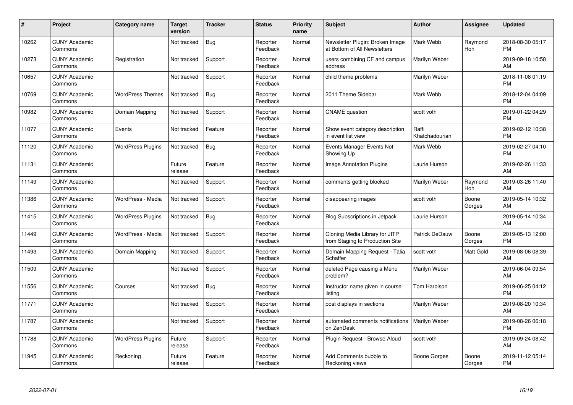| #     | Project                         | <b>Category name</b>     | <b>Target</b><br>version | <b>Tracker</b> | <b>Status</b>        | <b>Priority</b><br>name | <b>Subject</b>                                                    | <b>Author</b>           | <b>Assignee</b> | <b>Updated</b>                |
|-------|---------------------------------|--------------------------|--------------------------|----------------|----------------------|-------------------------|-------------------------------------------------------------------|-------------------------|-----------------|-------------------------------|
| 10262 | <b>CUNY Academic</b><br>Commons |                          | Not tracked              | Bug            | Reporter<br>Feedback | Normal                  | Newsletter Plugin: Broken Image<br>at Bottom of All Newsletters   | Mark Webb               | Raymond<br>Hoh  | 2018-08-30 05:17<br><b>PM</b> |
| 10273 | <b>CUNY Academic</b><br>Commons | Registration             | Not tracked              | Support        | Reporter<br>Feedback | Normal                  | users combining CF and campus<br>address                          | Marilyn Weber           |                 | 2019-09-18 10:58<br>AM        |
| 10657 | <b>CUNY Academic</b><br>Commons |                          | Not tracked              | Support        | Reporter<br>Feedback | Normal                  | child theme problems                                              | Marilyn Weber           |                 | 2018-11-08 01:19<br><b>PM</b> |
| 10769 | <b>CUNY Academic</b><br>Commons | <b>WordPress Themes</b>  | Not tracked              | Bug            | Reporter<br>Feedback | Normal                  | 2011 Theme Sidebar                                                | Mark Webb               |                 | 2018-12-04 04:09<br><b>PM</b> |
| 10982 | <b>CUNY Academic</b><br>Commons | Domain Mapping           | Not tracked              | Support        | Reporter<br>Feedback | Normal                  | <b>CNAME</b> question                                             | scott voth              |                 | 2019-01-22 04:29<br><b>PM</b> |
| 11077 | <b>CUNY Academic</b><br>Commons | Events                   | Not tracked              | Feature        | Reporter<br>Feedback | Normal                  | Show event category description<br>in event list view             | Raffi<br>Khatchadourian |                 | 2019-02-12 10:38<br><b>PM</b> |
| 11120 | <b>CUNY Academic</b><br>Commons | <b>WordPress Plugins</b> | Not tracked              | <b>Bug</b>     | Reporter<br>Feedback | Normal                  | Events Manager Events Not<br>Showing Up                           | Mark Webb               |                 | 2019-02-27 04:10<br><b>PM</b> |
| 11131 | <b>CUNY Academic</b><br>Commons |                          | Future<br>release        | Feature        | Reporter<br>Feedback | Normal                  | <b>Image Annotation Plugins</b>                                   | Laurie Hurson           |                 | 2019-02-26 11:33<br>AM        |
| 11149 | <b>CUNY Academic</b><br>Commons |                          | Not tracked              | Support        | Reporter<br>Feedback | Normal                  | comments getting blocked                                          | Marilyn Weber           | Raymond<br>Hoh  | 2019-03-26 11:40<br>AM        |
| 11386 | <b>CUNY Academic</b><br>Commons | WordPress - Media        | Not tracked              | Support        | Reporter<br>Feedback | Normal                  | disappearing images                                               | scott voth              | Boone<br>Gorges | 2019-05-14 10:32<br>AM        |
| 11415 | <b>CUNY Academic</b><br>Commons | <b>WordPress Plugins</b> | Not tracked              | Bug            | Reporter<br>Feedback | Normal                  | <b>Blog Subscriptions in Jetpack</b>                              | Laurie Hurson           |                 | 2019-05-14 10:34<br>AM        |
| 11449 | <b>CUNY Academic</b><br>Commons | WordPress - Media        | Not tracked              | Support        | Reporter<br>Feedback | Normal                  | Cloning Media Library for JITP<br>from Staging to Production Site | <b>Patrick DeDauw</b>   | Boone<br>Gorges | 2019-05-13 12:00<br><b>PM</b> |
| 11493 | <b>CUNY Academic</b><br>Commons | Domain Mapping           | Not tracked              | Support        | Reporter<br>Feedback | Normal                  | Domain Mapping Request - Talia<br>Schaffer                        | scott voth              | Matt Gold       | 2019-08-06 08:39<br>AM        |
| 11509 | <b>CUNY Academic</b><br>Commons |                          | Not tracked              | Support        | Reporter<br>Feedback | Normal                  | deleted Page causing a Menu<br>problem?                           | Marilyn Weber           |                 | 2019-06-04 09:54<br>AM        |
| 11556 | <b>CUNY Academic</b><br>Commons | Courses                  | Not tracked              | <b>Bug</b>     | Reporter<br>Feedback | Normal                  | Instructor name given in course<br>listing                        | Tom Harbison            |                 | 2019-06-25 04:12<br><b>PM</b> |
| 11771 | <b>CUNY Academic</b><br>Commons |                          | Not tracked              | Support        | Reporter<br>Feedback | Normal                  | post displays in sections                                         | Marilyn Weber           |                 | 2019-08-20 10:34<br>AM        |
| 11787 | <b>CUNY Academic</b><br>Commons |                          | Not tracked              | Support        | Reporter<br>Feedback | Normal                  | automated comments notifications<br>on ZenDesk                    | Marilyn Weber           |                 | 2019-08-26 06:18<br><b>PM</b> |
| 11788 | <b>CUNY Academic</b><br>Commons | <b>WordPress Plugins</b> | Future<br>release        | Support        | Reporter<br>Feedback | Normal                  | Plugin Request - Browse Aloud                                     | scott voth              |                 | 2019-09-24 08:42<br>AM        |
| 11945 | <b>CUNY Academic</b><br>Commons | Reckoning                | Future<br>release        | Feature        | Reporter<br>Feedback | Normal                  | Add Comments bubble to<br>Reckoning views                         | Boone Gorges            | Boone<br>Gorges | 2019-11-12 05:14<br><b>PM</b> |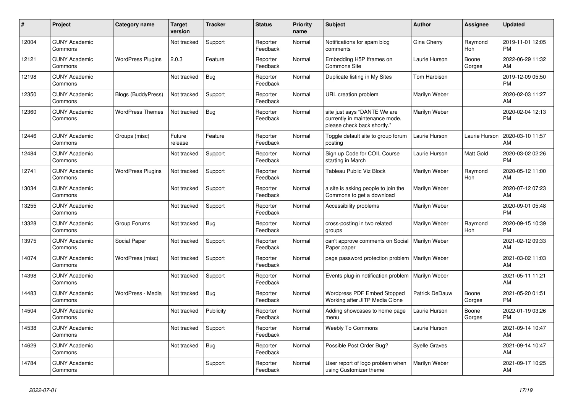| $\vert$ # | <b>Project</b>                  | Category name             | <b>Target</b><br>version | <b>Tracker</b> | <b>Status</b>        | <b>Priority</b><br>name | <b>Subject</b>                                                                                | <b>Author</b>        | Assignee        | <b>Updated</b>                |
|-----------|---------------------------------|---------------------------|--------------------------|----------------|----------------------|-------------------------|-----------------------------------------------------------------------------------------------|----------------------|-----------------|-------------------------------|
| 12004     | <b>CUNY Academic</b><br>Commons |                           | Not tracked              | Support        | Reporter<br>Feedback | Normal                  | Notifications for spam blog<br>comments                                                       | Gina Cherry          | Raymond<br>Hoh  | 2019-11-01 12:05<br><b>PM</b> |
| 12121     | <b>CUNY Academic</b><br>Commons | <b>WordPress Plugins</b>  | 2.0.3                    | Feature        | Reporter<br>Feedback | Normal                  | Embedding H5P Iframes on<br><b>Commons Site</b>                                               | Laurie Hurson        | Boone<br>Gorges | 2022-06-29 11:32<br>AM        |
| 12198     | <b>CUNY Academic</b><br>Commons |                           | Not tracked              | Bug            | Reporter<br>Feedback | Normal                  | Duplicate listing in My Sites                                                                 | Tom Harbison         |                 | 2019-12-09 05:50<br><b>PM</b> |
| 12350     | <b>CUNY Academic</b><br>Commons | <b>Blogs (BuddyPress)</b> | Not tracked              | Support        | Reporter<br>Feedback | Normal                  | URL creation problem                                                                          | Marilyn Weber        |                 | 2020-02-03 11:27<br>AM        |
| 12360     | <b>CUNY Academic</b><br>Commons | <b>WordPress Themes</b>   | Not tracked              | Bug            | Reporter<br>Feedback | Normal                  | site just says "DANTE We are<br>currently in maintenance mode,<br>please check back shortly." | Marilyn Weber        |                 | 2020-02-04 12:13<br><b>PM</b> |
| 12446     | <b>CUNY Academic</b><br>Commons | Groups (misc)             | Future<br>release        | Feature        | Reporter<br>Feedback | Normal                  | Toggle default site to group forum<br>posting                                                 | Laurie Hurson        | Laurie Hurson   | 2020-03-10 11:57<br>AM        |
| 12484     | <b>CUNY Academic</b><br>Commons |                           | Not tracked              | Support        | Reporter<br>Feedback | Normal                  | Sign up Code for COIL Course<br>starting in March                                             | Laurie Hurson        | Matt Gold       | 2020-03-02 02:26<br><b>PM</b> |
| 12741     | <b>CUNY Academic</b><br>Commons | <b>WordPress Plugins</b>  | Not tracked              | Support        | Reporter<br>Feedback | Normal                  | Tableau Public Viz Block                                                                      | Marilyn Weber        | Raymond<br>Hoh  | 2020-05-12 11:00<br>AM        |
| 13034     | <b>CUNY Academic</b><br>Commons |                           | Not tracked              | Support        | Reporter<br>Feedback | Normal                  | a site is asking people to join the<br>Commons to get a download                              | Marilyn Weber        |                 | 2020-07-12 07:23<br>AM        |
| 13255     | <b>CUNY Academic</b><br>Commons |                           | Not tracked              | Support        | Reporter<br>Feedback | Normal                  | Accessibility problems                                                                        | Marilyn Weber        |                 | 2020-09-01 05:48<br><b>PM</b> |
| 13328     | <b>CUNY Academic</b><br>Commons | Group Forums              | Not tracked              | Bug            | Reporter<br>Feedback | Normal                  | cross-posting in two related<br>groups                                                        | Marilyn Weber        | Raymond<br>Hoh  | 2020-09-15 10:39<br><b>PM</b> |
| 13975     | <b>CUNY Academic</b><br>Commons | Social Paper              | Not tracked              | Support        | Reporter<br>Feedback | Normal                  | can't approve comments on Social<br>Paper paper                                               | Marilyn Weber        |                 | 2021-02-12 09:33<br>AM        |
| 14074     | <b>CUNY Academic</b><br>Commons | WordPress (misc)          | Not tracked              | Support        | Reporter<br>Feedback | Normal                  | page password protection problem                                                              | Marilyn Weber        |                 | 2021-03-02 11:03<br>AM        |
| 14398     | <b>CUNY Academic</b><br>Commons |                           | Not tracked              | Support        | Reporter<br>Feedback | Normal                  | Events plug-in notification problem                                                           | Marilyn Weber        |                 | 2021-05-11 11:21<br>AM        |
| 14483     | <b>CUNY Academic</b><br>Commons | WordPress - Media         | Not tracked              | Bug            | Reporter<br>Feedback | Normal                  | Wordpress PDF Embed Stopped<br>Working after JITP Media Clone                                 | Patrick DeDauw       | Boone<br>Gorges | 2021-05-20 01:51<br><b>PM</b> |
| 14504     | <b>CUNY Academic</b><br>Commons |                           | Not tracked              | Publicity      | Reporter<br>Feedback | Normal                  | Adding showcases to home page<br>menu                                                         | Laurie Hurson        | Boone<br>Gorges | 2022-01-19 03:26<br><b>PM</b> |
| 14538     | <b>CUNY Academic</b><br>Commons |                           | Not tracked              | Support        | Reporter<br>Feedback | Normal                  | <b>Weebly To Commons</b>                                                                      | Laurie Hurson        |                 | 2021-09-14 10:47<br>AM        |
| 14629     | <b>CUNY Academic</b><br>Commons |                           | Not tracked              | Bug            | Reporter<br>Feedback | Normal                  | Possible Post Order Bug?                                                                      | <b>Syelle Graves</b> |                 | 2021-09-14 10:47<br>AM        |
| 14784     | <b>CUNY Academic</b><br>Commons |                           |                          | Support        | Reporter<br>Feedback | Normal                  | User report of logo problem when<br>using Customizer theme                                    | Marilyn Weber        |                 | 2021-09-17 10:25<br>AM        |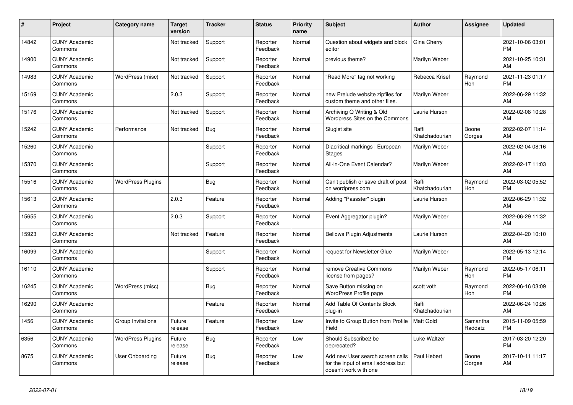| #     | Project                         | <b>Category name</b>     | <b>Target</b><br>version | <b>Tracker</b> | <b>Status</b>        | <b>Priority</b><br>name | <b>Subject</b>                                                                                  | <b>Author</b>           | <b>Assignee</b>     | <b>Updated</b>                |
|-------|---------------------------------|--------------------------|--------------------------|----------------|----------------------|-------------------------|-------------------------------------------------------------------------------------------------|-------------------------|---------------------|-------------------------------|
| 14842 | <b>CUNY Academic</b><br>Commons |                          | Not tracked              | Support        | Reporter<br>Feedback | Normal                  | Question about widgets and block<br>editor                                                      | Gina Cherry             |                     | 2021-10-06 03:01<br><b>PM</b> |
| 14900 | <b>CUNY Academic</b><br>Commons |                          | Not tracked              | Support        | Reporter<br>Feedback | Normal                  | previous theme?                                                                                 | Marilyn Weber           |                     | 2021-10-25 10:31<br>AM        |
| 14983 | <b>CUNY Academic</b><br>Commons | WordPress (misc)         | Not tracked              | Support        | Reporter<br>Feedback | Normal                  | "Read More" tag not working                                                                     | Rebecca Krisel          | Raymond<br>Hoh      | 2021-11-23 01:17<br><b>PM</b> |
| 15169 | <b>CUNY Academic</b><br>Commons |                          | 2.0.3                    | Support        | Reporter<br>Feedback | Normal                  | new Prelude website zipfiles for<br>custom theme and other files.                               | Marilyn Weber           |                     | 2022-06-29 11:32<br>AM        |
| 15176 | <b>CUNY Academic</b><br>Commons |                          | Not tracked              | Support        | Reporter<br>Feedback | Normal                  | Archiving Q Writing & Old<br>Wordpress Sites on the Commons                                     | Laurie Hurson           |                     | 2022-02-08 10:28<br><b>AM</b> |
| 15242 | <b>CUNY Academic</b><br>Commons | Performance              | Not tracked              | <b>Bug</b>     | Reporter<br>Feedback | Normal                  | Slugist site                                                                                    | Raffi<br>Khatchadourian | Boone<br>Gorges     | 2022-02-07 11:14<br><b>AM</b> |
| 15260 | <b>CUNY Academic</b><br>Commons |                          |                          | Support        | Reporter<br>Feedback | Normal                  | Diacritical markings   European<br><b>Stages</b>                                                | Marilyn Weber           |                     | 2022-02-04 08:16<br>AM        |
| 15370 | <b>CUNY Academic</b><br>Commons |                          |                          | Support        | Reporter<br>Feedback | Normal                  | All-in-One Event Calendar?                                                                      | Marilyn Weber           |                     | 2022-02-17 11:03<br>AM        |
| 15516 | <b>CUNY Academic</b><br>Commons | <b>WordPress Plugins</b> |                          | Bug            | Reporter<br>Feedback | Normal                  | Can't publish or save draft of post<br>on wordpress.com                                         | Raffi<br>Khatchadourian | Raymond<br>Hoh      | 2022-03-02 05:52<br><b>PM</b> |
| 15613 | <b>CUNY Academic</b><br>Commons |                          | 2.0.3                    | Feature        | Reporter<br>Feedback | Normal                  | Adding "Passster" plugin                                                                        | Laurie Hurson           |                     | 2022-06-29 11:32<br><b>AM</b> |
| 15655 | <b>CUNY Academic</b><br>Commons |                          | 2.0.3                    | Support        | Reporter<br>Feedback | Normal                  | Event Aggregator plugin?                                                                        | Marilyn Weber           |                     | 2022-06-29 11:32<br>AM        |
| 15923 | <b>CUNY Academic</b><br>Commons |                          | Not tracked              | Feature        | Reporter<br>Feedback | Normal                  | <b>Bellows Plugin Adjustments</b>                                                               | Laurie Hurson           |                     | 2022-04-20 10:10<br><b>AM</b> |
| 16099 | <b>CUNY Academic</b><br>Commons |                          |                          | Support        | Reporter<br>Feedback | Normal                  | request for Newsletter Glue                                                                     | Marilyn Weber           |                     | 2022-05-13 12:14<br><b>PM</b> |
| 16110 | <b>CUNY Academic</b><br>Commons |                          |                          | Support        | Reporter<br>Feedback | Normal                  | remove Creative Commons<br>license from pages?                                                  | Marilyn Weber           | Raymond<br>Hoh      | 2022-05-17 06:11<br><b>PM</b> |
| 16245 | <b>CUNY Academic</b><br>Commons | WordPress (misc)         |                          | <b>Bug</b>     | Reporter<br>Feedback | Normal                  | Save Button missing on<br><b>WordPress Profile page</b>                                         | scott voth              | Raymond<br>Hoh      | 2022-06-16 03:09<br><b>PM</b> |
| 16290 | <b>CUNY Academic</b><br>Commons |                          |                          | Feature        | Reporter<br>Feedback | Normal                  | Add Table Of Contents Block<br>plug-in                                                          | Raffi<br>Khatchadourian |                     | 2022-06-24 10:26<br>AM        |
| 1456  | <b>CUNY Academic</b><br>Commons | Group Invitations        | Future<br>release        | Feature        | Reporter<br>Feedback | Low                     | Invite to Group Button from Profile<br>Field                                                    | <b>Matt Gold</b>        | Samantha<br>Raddatz | 2015-11-09 05:59<br><b>PM</b> |
| 6356  | <b>CUNY Academic</b><br>Commons | <b>WordPress Plugins</b> | Future<br>release        | Bug            | Reporter<br>Feedback | Low                     | Should Subscribe2 be<br>deprecated?                                                             | Luke Waltzer            |                     | 2017-03-20 12:20<br><b>PM</b> |
| 8675  | <b>CUNY Academic</b><br>Commons | User Onboarding          | Future<br>release        | Bug            | Reporter<br>Feedback | Low                     | Add new User search screen calls<br>for the input of email address but<br>doesn't work with one | Paul Hebert             | Boone<br>Gorges     | 2017-10-11 11:17<br>AM        |